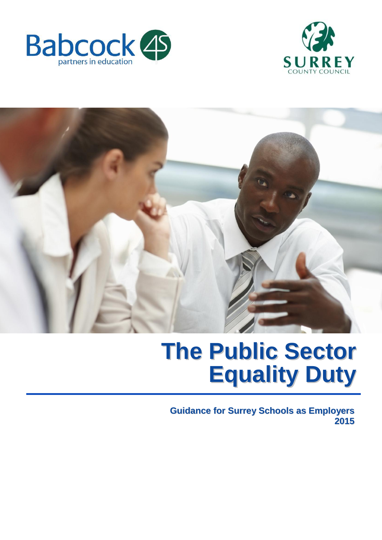





# **The Public Sector Equality Duty**

**Guidance for Surrey Schools as Employers 2015**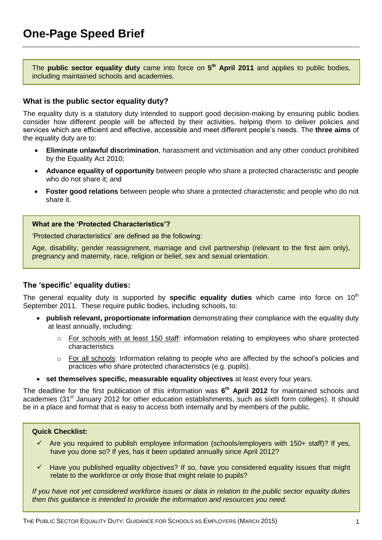<span id="page-1-0"></span>The **public sector equality duty** came into force on **5 th April 2011** and applies to public bodies, including maintained schools and academies.

# **What is the public sector equality duty?**

The equality duty is a statutory duty intended to support good decision-making by ensuring public bodies consider how different people will be affected by their activities, helping them to deliver policies and services which are efficient and effective, accessible and meet different people's needs. The **three aims** of the equality duty are to:

- **Eliminate unlawful discrimination**, harassment and victimisation and any other conduct prohibited by the Equality Act 2010;
- **Advance equality of opportunity** between people who share a protected characteristic and people who do not share it; and
- **Foster good relations** between people who share a protected characteristic and people who do not share it.

#### **What are the 'Protected Characteristics'?**

'Protected characteristics' are defined as the following:

Age, disability, gender reassignment, marriage and civil partnership (relevant to the first aim only), pregnancy and maternity, race, religion or belief, sex and sexual orientation.

# **The 'specific' equality duties:**

The general equality duty is supported by **specific equality duties** which came into force on 10<sup>th</sup> September 2011. These require public bodies, including schools, to:

- **publish relevant, proportionate information** demonstrating their compliance with the equality duty at least annually, including:
	- $\circ$  For schools with at least 150 staff: information relating to employees who share protected characteristics
	- $\circ$  For all schools: Information relating to people who are affected by the school's policies and practices who share protected characteristics (e.g. pupils).
- **set themselves specific, measurable equality objectives** at least every four years.

The deadline for the first publication of this information was **6 th April 2012** for maintained schools and academies (31<sup>st</sup> January 2012 for other education establishments, such as sixth form colleges). It should be in a place and format that is easy to access both internally and by members of the public.

#### **Quick Checklist:**

- $\checkmark$  Are you required to publish employee information (schools/employers with 150+ staff)? If yes, have you done so? If yes, has it been updated annually since April 2012?
- $\checkmark$  Have you published equality objectives? If so, have you considered equality issues that might relate to the workforce or only those that might relate to pupils?

*If you have not yet considered workforce issues or data in relation to the public sector equality duties then this guidance is intended to provide the information and resources you need.*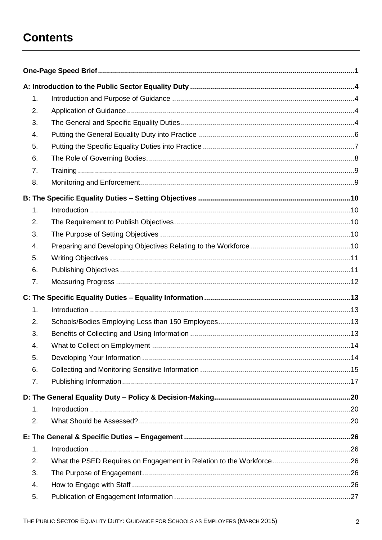# **Contents**

| 1. |  |
|----|--|
| 2. |  |
| 3. |  |
| 4. |  |
| 5. |  |
| 6. |  |
| 7. |  |
| 8. |  |
|    |  |
| 1. |  |
| 2. |  |
| 3. |  |
| 4. |  |
| 5. |  |
| 6. |  |
| 7. |  |
|    |  |
| 1. |  |
| 2. |  |
| 3. |  |
| 4. |  |
| 5. |  |
| 6. |  |
| 7. |  |
|    |  |
| 1. |  |
| 2. |  |
|    |  |
| 1. |  |
| 2. |  |
| 3. |  |
| 4. |  |
| 5. |  |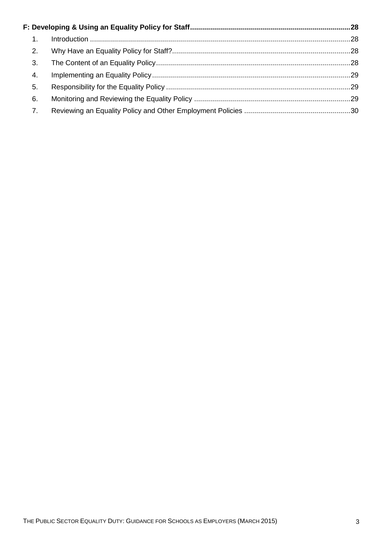| $\mathbf{1}$ . |  |  |
|----------------|--|--|
| 2.             |  |  |
| 3.             |  |  |
| 4.             |  |  |
| 5.             |  |  |
| 6.             |  |  |
| 7.             |  |  |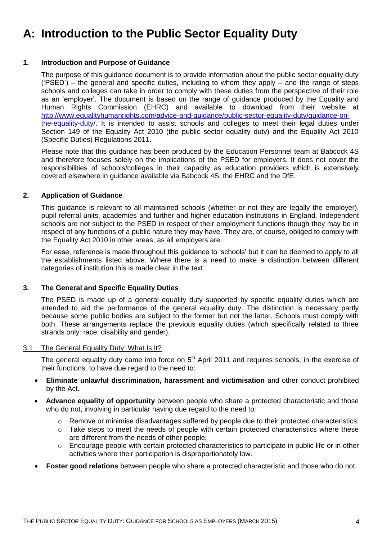#### <span id="page-4-1"></span><span id="page-4-0"></span>**1. Introduction and Purpose of Guidance**

The purpose of this guidance document is to provide information about the public sector equality duty  $('PSED')$  – the general and specific duties, including to whom they apply – and the range of steps schools and colleges can take in order to comply with these duties from the perspective of their role as an 'employer'. The document is based on the range of guidance produced by the Equality and Human Rights Commission (EHRC) and available to download from their website at [http://www.equalityhumanrights.com/advice-and-guidance/public-sector-equality-duty/guidance-on](http://www.equalityhumanrights.com/advice-and-guidance/public-sector-equality-duty/guidance-on-the-equality-duty/)[the-equality-duty/.](http://www.equalityhumanrights.com/advice-and-guidance/public-sector-equality-duty/guidance-on-the-equality-duty/) It is intended to assist schools and colleges to meet their legal duties under Section 149 of the Equality Act 2010 (the public sector equality duty) and the Equality Act 2010 (Specific Duties) Regulations 2011.

Please note that this guidance has been produced by the Education Personnel team at Babcock 4S and therefore focuses solely on the implications of the PSED for employers. It does not cover the responsibilities of schools/colleges in their capacity as education providers which is extensively covered elsewhere in guidance available via Babcock 4S, the EHRC and the DfE.

# <span id="page-4-2"></span>**2. Application of Guidance**

This guidance is relevant to all maintained schools (whether or not they are legally the employer), pupil referral units, academies and further and higher education institutions in England. Independent schools are not subject to the PSED in respect of their employment functions though they may be in respect of any functions of a public nature they may have. They are, of course, obliged to comply with the Equality Act 2010 in other areas, as all employers are.

For ease, reference is made throughout this guidance to 'schools' but it can be deemed to apply to all the establishments listed above. Where there is a need to make a distinction between different categories of institution this is made clear in the text.

# <span id="page-4-3"></span>**3. The General and Specific Equality Duties**

The PSED is made up of a general equality duty supported by specific equality duties which are intended to aid the performance of the general equality duty. The distinction is necessary partly because some public bodies are subject to the former but not the latter. Schools must comply with both. These arrangements replace the previous equality duties (which specifically related to three strands only: race, disability and gender).

#### 3.1 The General Equality Duty: What Is It?

The general equality duty came into force on  $5<sup>th</sup>$  April 2011 and requires schools, in the exercise of their functions, to have due regard to the need to:

- **Eliminate unlawful discrimination, harassment and victimisation** and other conduct prohibited by the Act.
- **Advance equality of opportunity** between people who share a protected characteristic and those who do not, involving in particular having due regard to the need to:
	- $\circ$  Remove or minimise disadvantages suffered by people due to their protected characteristics;
	- o Take steps to meet the needs of people with certain protected characteristics where these are different from the needs of other people;
	- o Encourage people with certain protected characteristics to participate in public life or in other activities where their participation is disproportionately low.
- **Foster good relations** between people who share a protected characteristic and those who do not.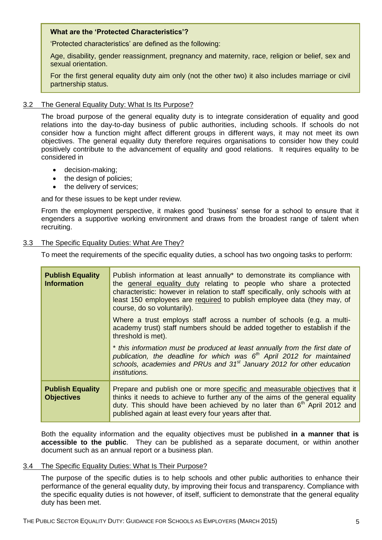# **What are the 'Protected Characteristics'?**

'Protected characteristics' are defined as the following:

Age, disability, gender reassignment, pregnancy and maternity, race, religion or belief, sex and sexual orientation.

For the first general equality duty aim only (not the other two) it also includes marriage or civil partnership status.

#### 3.2 The General Equality Duty: What Is Its Purpose?

The broad purpose of the general equality duty is to integrate consideration of equality and good relations into the day-to-day business of public authorities, including schools. If schools do not consider how a function might affect different groups in different ways, it may not meet its own objectives. The general equality duty therefore requires organisations to consider how they could positively contribute to the advancement of equality and good relations. It requires equality to be considered in

- decision-making;
- the design of policies;
- the delivery of services;

and for these issues to be kept under review.

From the employment perspective, it makes good 'business' sense for a school to ensure that it engenders a supportive working environment and draws from the broadest range of talent when recruiting.

#### 3.3 The Specific Equality Duties: What Are They?

To meet the requirements of the specific equality duties, a school has two ongoing tasks to perform:

| <b>Publish Equality</b><br><b>Information</b> | Publish information at least annually* to demonstrate its compliance with<br>the general equality duty relating to people who share a protected<br>characteristic: however in relation to staff specifically, only schools with at<br>least 150 employees are required to publish employee data (they may, of<br>course, do so voluntarily). |
|-----------------------------------------------|----------------------------------------------------------------------------------------------------------------------------------------------------------------------------------------------------------------------------------------------------------------------------------------------------------------------------------------------|
|                                               | Where a trust employs staff across a number of schools (e.g. a multi-<br>academy trust) staff numbers should be added together to establish if the<br>threshold is met).                                                                                                                                                                     |
|                                               | * this information must be produced at least annually from the first date of<br>publication, the deadline for which was $6th$ April 2012 for maintained<br>schools, academies and PRUs and 31 <sup>st</sup> January 2012 for other education<br><i>institutions.</i>                                                                         |
| <b>Publish Equality</b><br><b>Objectives</b>  | Prepare and publish one or more specific and measurable objectives that it<br>thinks it needs to achieve to further any of the aims of the general equality<br>duty. This should have been achieved by no later than 6 <sup>th</sup> April 2012 and<br>published again at least every four years after that.                                 |

Both the equality information and the equality objectives must be published **in a manner that is accessible to the public**. They can be published as a separate document, or within another document such as an annual report or a business plan.

#### 3.4 The Specific Equality Duties: What Is Their Purpose?

The purpose of the specific duties is to help schools and other public authorities to enhance their performance of the general equality duty, by improving their focus and transparency. Compliance with the specific equality duties is not however, of itself, sufficient to demonstrate that the general equality duty has been met.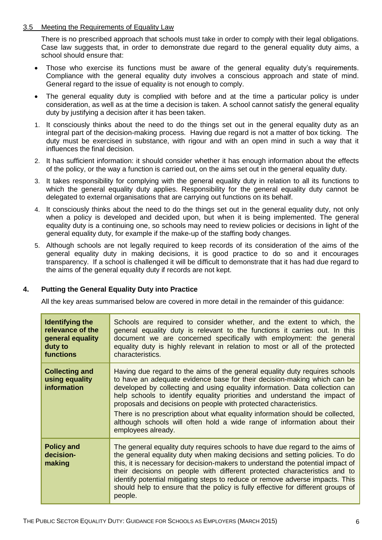#### 3.5 Meeting the Requirements of Equality Law

There is no prescribed approach that schools must take in order to comply with their legal obligations. Case law suggests that, in order to demonstrate due regard to the general equality duty aims, a school should ensure that:

- Those who exercise its functions must be aware of the general equality duty's requirements. Compliance with the general equality duty involves a conscious approach and state of mind. General regard to the issue of equality is not enough to comply.
- The general equality duty is complied with before and at the time a particular policy is under consideration, as well as at the time a decision is taken. A school cannot satisfy the general equality duty by justifying a decision after it has been taken.
- 1. It consciously thinks about the need to do the things set out in the general equality duty as an integral part of the decision-making process. Having due regard is not a matter of box ticking. The duty must be exercised in substance, with rigour and with an open mind in such a way that it influences the final decision.
- 2. It has sufficient information: it should consider whether it has enough information about the effects of the policy, or the way a function is carried out, on the aims set out in the general equality duty.
- 3. It takes responsibility for complying with the general equality duty in relation to all its functions to which the general equality duty applies. Responsibility for the general equality duty cannot be delegated to external organisations that are carrying out functions on its behalf.
- 4. It consciously thinks about the need to do the things set out in the general equality duty, not only when a policy is developed and decided upon, but when it is being implemented. The general equality duty is a continuing one, so schools may need to review policies or decisions in light of the general equality duty, for example if the make-up of the staffing body changes.
- 5. Although schools are not legally required to keep records of its consideration of the aims of the general equality duty in making decisions, it is good practice to do so and it encourages transparency. If a school is challenged it will be difficult to demonstrate that it has had due regard to the aims of the general equality duty if records are not kept.

# <span id="page-6-0"></span>**4. Putting the General Equality Duty into Practice**

All the key areas summarised below are covered in more detail in the remainder of this guidance:

| <b>Identifying the</b><br>relevance of the<br>general equality<br>duty to<br>functions | Schools are required to consider whether, and the extent to which, the<br>general equality duty is relevant to the functions it carries out. In this<br>document we are concerned specifically with employment: the general<br>equality duty is highly relevant in relation to most or all of the protected<br>characteristics.                                                                                                                                                                                                                                             |
|----------------------------------------------------------------------------------------|-----------------------------------------------------------------------------------------------------------------------------------------------------------------------------------------------------------------------------------------------------------------------------------------------------------------------------------------------------------------------------------------------------------------------------------------------------------------------------------------------------------------------------------------------------------------------------|
| <b>Collecting and</b><br>using equality<br>information                                 | Having due regard to the aims of the general equality duty requires schools<br>to have an adequate evidence base for their decision-making which can be<br>developed by collecting and using equality information. Data collection can<br>help schools to identify equality priorities and understand the impact of<br>proposals and decisions on people with protected characteristics.<br>There is no prescription about what equality information should be collected,<br>although schools will often hold a wide range of information about their<br>employees already. |
| <b>Policy and</b><br>decision-<br>making                                               | The general equality duty requires schools to have due regard to the aims of<br>the general equality duty when making decisions and setting policies. To do<br>this, it is necessary for decision-makers to understand the potential impact of<br>their decisions on people with different protected characteristics and to<br>identify potential mitigating steps to reduce or remove adverse impacts. This<br>should help to ensure that the policy is fully effective for different groups of<br>people.                                                                 |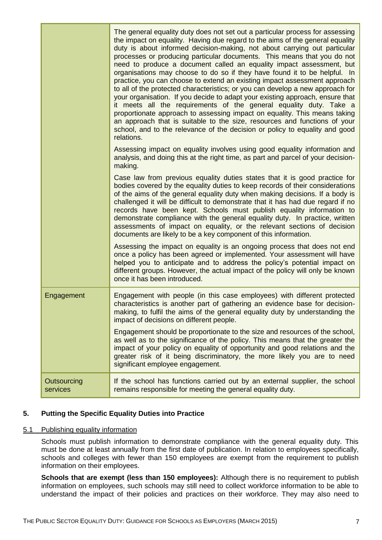|                         | The general equality duty does not set out a particular process for assessing<br>the impact on equality. Having due regard to the aims of the general equality<br>duty is about informed decision-making, not about carrying out particular<br>processes or producing particular documents. This means that you do not<br>need to produce a document called an equality impact assessment, but<br>organisations may choose to do so if they have found it to be helpful. In<br>practice, you can choose to extend an existing impact assessment approach<br>to all of the protected characteristics; or you can develop a new approach for<br>your organisation. If you decide to adapt your existing approach, ensure that<br>it meets all the requirements of the general equality duty. Take a<br>proportionate approach to assessing impact on equality. This means taking<br>an approach that is suitable to the size, resources and functions of your<br>school, and to the relevance of the decision or policy to equality and good<br>relations. |
|-------------------------|----------------------------------------------------------------------------------------------------------------------------------------------------------------------------------------------------------------------------------------------------------------------------------------------------------------------------------------------------------------------------------------------------------------------------------------------------------------------------------------------------------------------------------------------------------------------------------------------------------------------------------------------------------------------------------------------------------------------------------------------------------------------------------------------------------------------------------------------------------------------------------------------------------------------------------------------------------------------------------------------------------------------------------------------------------|
|                         | Assessing impact on equality involves using good equality information and<br>analysis, and doing this at the right time, as part and parcel of your decision-<br>making.                                                                                                                                                                                                                                                                                                                                                                                                                                                                                                                                                                                                                                                                                                                                                                                                                                                                                 |
|                         | Case law from previous equality duties states that it is good practice for<br>bodies covered by the equality duties to keep records of their considerations<br>of the aims of the general equality duty when making decisions. If a body is<br>challenged it will be difficult to demonstrate that it has had due regard if no<br>records have been kept. Schools must publish equality information to<br>demonstrate compliance with the general equality duty. In practice, written<br>assessments of impact on equality, or the relevant sections of decision<br>documents are likely to be a key component of this information.                                                                                                                                                                                                                                                                                                                                                                                                                      |
|                         | Assessing the impact on equality is an ongoing process that does not end<br>once a policy has been agreed or implemented. Your assessment will have<br>helped you to anticipate and to address the policy's potential impact on<br>different groups. However, the actual impact of the policy will only be known<br>once it has been introduced.                                                                                                                                                                                                                                                                                                                                                                                                                                                                                                                                                                                                                                                                                                         |
| Engagement              | Engagement with people (in this case employees) with different protected<br>characteristics is another part of gathering an evidence base for decision-<br>making, to fulfil the aims of the general equality duty by understanding the<br>impact of decisions on different people.                                                                                                                                                                                                                                                                                                                                                                                                                                                                                                                                                                                                                                                                                                                                                                      |
|                         | Engagement should be proportionate to the size and resources of the school,<br>as well as to the significance of the policy. This means that the greater the<br>impact of your policy on equality of opportunity and good relations and the<br>greater risk of it being discriminatory, the more likely you are to need<br>significant employee engagement.                                                                                                                                                                                                                                                                                                                                                                                                                                                                                                                                                                                                                                                                                              |
| Outsourcing<br>services | If the school has functions carried out by an external supplier, the school<br>remains responsible for meeting the general equality duty.                                                                                                                                                                                                                                                                                                                                                                                                                                                                                                                                                                                                                                                                                                                                                                                                                                                                                                                |

# <span id="page-7-0"></span>**5. Putting the Specific Equality Duties into Practice**

# 5.1 Publishing equality information

Schools must publish information to demonstrate compliance with the general equality duty. This must be done at least annually from the first date of publication. In relation to employees specifically, schools and colleges with fewer than 150 employees are exempt from the requirement to publish information on their employees.

**Schools that are exempt (less than 150 employees):** Although there is no requirement to publish information on employees, such schools may still need to collect workforce information to be able to understand the impact of their policies and practices on their workforce. They may also need to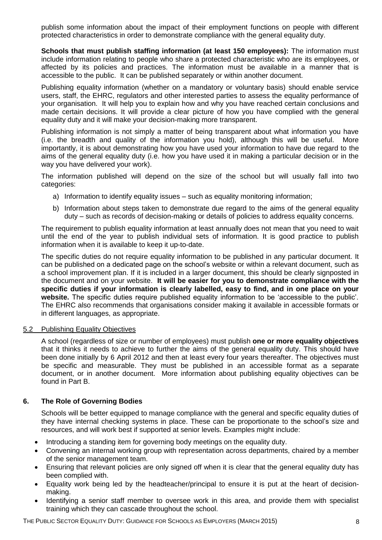publish some information about the impact of their employment functions on people with different protected characteristics in order to demonstrate compliance with the general equality duty.

**Schools that must publish staffing information (at least 150 employees):** The information must include information relating to people who share a protected characteristic who are its employees, or affected by its policies and practices. The information must be available in a manner that is accessible to the public. It can be published separately or within another document.

Publishing equality information (whether on a mandatory or voluntary basis) should enable service users, staff, the EHRC, regulators and other interested parties to assess the equality performance of your organisation. It will help you to explain how and why you have reached certain conclusions and made certain decisions. It will provide a clear picture of how you have complied with the general equality duty and it will make your decision-making more transparent.

Publishing information is not simply a matter of being transparent about what information you have (i.e. the breadth and quality of the information you hold), although this will be useful. More importantly, it is about demonstrating how you have used your information to have due regard to the aims of the general equality duty (i.e. how you have used it in making a particular decision or in the way you have delivered your work).

The information published will depend on the size of the school but will usually fall into two categories:

- a) Information to identify equality issues such as equality monitoring information;
- b) Information about steps taken to demonstrate due regard to the aims of the general equality duty – such as records of decision-making or details of policies to address equality concerns.

The requirement to publish equality information at least annually does not mean that you need to wait until the end of the year to publish individual sets of information. It is good practice to publish information when it is available to keep it up-to-date.

The specific duties do not require equality information to be published in any particular document. It can be published on a dedicated page on the school's website or within a relevant document, such as a school improvement plan. If it is included in a larger document, this should be clearly signposted in the document and on your website. **It will be easier for you to demonstrate compliance with the specific duties if your information is clearly labelled, easy to find, and in one place on your website.** The specific duties require published equality information to be 'accessible to the public'. The EHRC also recommends that organisations consider making it available in accessible formats or in different languages, as appropriate.

# 5.2 Publishing Equality Objectives

A school (regardless of size or number of employees) must publish **one or more equality objectives** that it thinks it needs to achieve to further the aims of the general equality duty. This should have been done initially by 6 April 2012 and then at least every four years thereafter. The objectives must be specific and measurable. They must be published in an accessible format as a separate document, or in another document. More information about publishing equality objectives can be found in Part B.

# <span id="page-8-0"></span>**6. The Role of Governing Bodies**

Schools will be better equipped to manage compliance with the general and specific equality duties of they have internal checking systems in place. These can be proportionate to the school's size and resources, and will work best if supported at senior levels. Examples might include:

- Introducing a standing item for governing body meetings on the equality duty.
- Convening an internal working group with representation across departments, chaired by a member of the senior management team.
- Ensuring that relevant policies are only signed off when it is clear that the general equality duty has been complied with.
- Equality work being led by the headteacher/principal to ensure it is put at the heart of decisionmaking.
- Identifying a senior staff member to oversee work in this area, and provide them with specialist training which they can cascade throughout the school.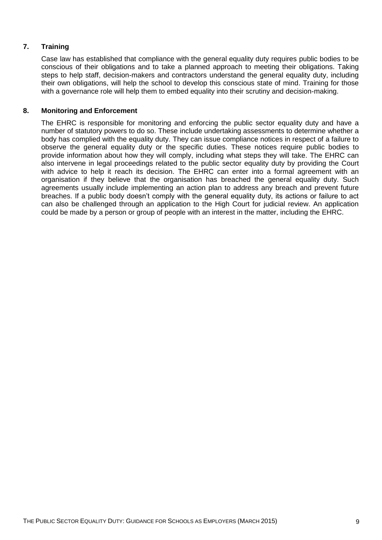# <span id="page-9-0"></span>**7. Training**

Case law has established that compliance with the general equality duty requires public bodies to be conscious of their obligations and to take a planned approach to meeting their obligations. Taking steps to help staff, decision-makers and contractors understand the general equality duty, including their own obligations, will help the school to develop this conscious state of mind. Training for those with a governance role will help them to embed equality into their scrutiny and decision-making.

# <span id="page-9-1"></span>**8. Monitoring and Enforcement**

The EHRC is responsible for monitoring and enforcing the public sector equality duty and have a number of statutory powers to do so. These include undertaking assessments to determine whether a body has complied with the equality duty. They can issue compliance notices in respect of a failure to observe the general equality duty or the specific duties. These notices require public bodies to provide information about how they will comply, including what steps they will take. The EHRC can also intervene in legal proceedings related to the public sector equality duty by providing the Court with advice to help it reach its decision. The EHRC can enter into a formal agreement with an organisation if they believe that the organisation has breached the general equality duty. Such agreements usually include implementing an action plan to address any breach and prevent future breaches. If a public body doesn't comply with the general equality duty, its actions or failure to act can also be challenged through an application to the High Court for judicial review. An application could be made by a person or group of people with an interest in the matter, including the EHRC.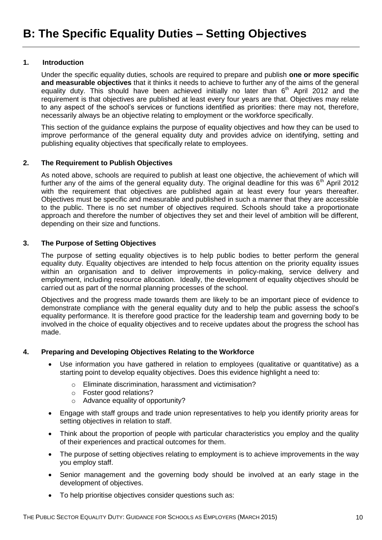# <span id="page-10-1"></span><span id="page-10-0"></span>**1. Introduction**

Under the specific equality duties, schools are required to prepare and publish **one or more specific and measurable objectives** that it thinks it needs to achieve to further any of the aims of the general equality duty. This should have been achieved initially no later than  $6<sup>th</sup>$  April 2012 and the requirement is that objectives are published at least every four years are that. Objectives may relate to any aspect of the school's services or functions identified as priorities: there may not, therefore, necessarily always be an objective relating to employment or the workforce specifically.

This section of the guidance explains the purpose of equality objectives and how they can be used to improve performance of the general equality duty and provides advice on identifying, setting and publishing equality objectives that specifically relate to employees.

#### <span id="page-10-2"></span>**2. The Requirement to Publish Objectives**

As noted above, schools are required to publish at least one objective, the achievement of which will further any of the aims of the general equality duty. The original deadline for this was  $6<sup>th</sup>$  April 2012 with the requirement that objectives are published again at least every four years thereafter. Objectives must be specific and measurable and published in such a manner that they are accessible to the public. There is no set number of objectives required. Schools should take a proportionate approach and therefore the number of objectives they set and their level of ambition will be different, depending on their size and functions.

#### <span id="page-10-3"></span>**3. The Purpose of Setting Objectives**

The purpose of setting equality objectives is to help public bodies to better perform the general equality duty. Equality objectives are intended to help focus attention on the priority equality issues within an organisation and to deliver improvements in policy-making, service delivery and employment, including resource allocation. Ideally, the development of equality objectives should be carried out as part of the normal planning processes of the school.

Objectives and the progress made towards them are likely to be an important piece of evidence to demonstrate compliance with the general equality duty and to help the public assess the school's equality performance. It is therefore good practice for the leadership team and governing body to be involved in the choice of equality objectives and to receive updates about the progress the school has made.

# <span id="page-10-4"></span>**4. Preparing and Developing Objectives Relating to the Workforce**

- Use information you have gathered in relation to employees (qualitative or quantitative) as a starting point to develop equality objectives. Does this evidence highlight a need to:
	- o Eliminate discrimination, harassment and victimisation?
	- o Foster good relations?
	- o Advance equality of opportunity?
- Engage with staff groups and trade union representatives to help you identify priority areas for setting objectives in relation to staff.
- Think about the proportion of people with particular characteristics you employ and the quality of their experiences and practical outcomes for them.
- The purpose of setting objectives relating to employment is to achieve improvements in the way you employ staff.
- Senior management and the governing body should be involved at an early stage in the development of objectives.
- To help prioritise objectives consider questions such as: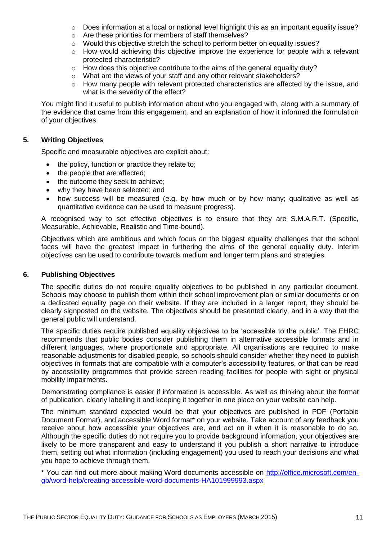- $\circ$  Does information at a local or national level highlight this as an important equality issue?
- o Are these priorities for members of staff themselves?
- $\circ$  Would this objective stretch the school to perform better on equality issues?
- $\circ$  How would achieving this objective improve the experience for people with a relevant protected characteristic?
- $\circ$  How does this objective contribute to the aims of the general equality duty?
- o What are the views of your staff and any other relevant stakeholders?
- $\circ$  How many people with relevant protected characteristics are affected by the issue, and what is the severity of the effect?

You might find it useful to publish information about who you engaged with, along with a summary of the evidence that came from this engagement, and an explanation of how it informed the formulation of your objectives.

#### <span id="page-11-0"></span>**5. Writing Objectives**

Specific and measurable objectives are explicit about:

- the policy, function or practice they relate to;
- the people that are affected;
- the outcome they seek to achieve:
- why they have been selected; and
- how success will be measured (e.g. by how much or by how many; qualitative as well as quantitative evidence can be used to measure progress).

A recognised way to set effective objectives is to ensure that they are S.M.A.R.T. (Specific, Measurable, Achievable, Realistic and Time-bound).

Objectives which are ambitious and which focus on the biggest equality challenges that the school faces will have the greatest impact in furthering the aims of the general equality duty. Interim objectives can be used to contribute towards medium and longer term plans and strategies.

#### <span id="page-11-1"></span>**6. Publishing Objectives**

The specific duties do not require equality objectives to be published in any particular document. Schools may choose to publish them within their school improvement plan or similar documents or on a dedicated equality page on their website. If they are included in a larger report, they should be clearly signposted on the website. The objectives should be presented clearly, and in a way that the general public will understand.

The specific duties require published equality objectives to be 'accessible to the public'. The EHRC recommends that public bodies consider publishing them in alternative accessible formats and in different languages, where proportionate and appropriate. All organisations are required to make reasonable adjustments for disabled people, so schools should consider whether they need to publish objectives in formats that are compatible with a computer's accessibility features, or that can be read by accessibility programmes that provide screen reading facilities for people with sight or physical mobility impairments.

Demonstrating compliance is easier if information is accessible. As well as thinking about the format of publication, clearly labelling it and keeping it together in one place on your website can help.

The minimum standard expected would be that your objectives are published in PDF (Portable Document Format), and accessible Word format\* on your website. Take account of any feedback you receive about how accessible your objectives are, and act on it when it is reasonable to do so. Although the specific duties do not require you to provide background information, your objectives are likely to be more transparent and easy to understand if you publish a short narrative to introduce them, setting out what information (including engagement) you used to reach your decisions and what you hope to achieve through them.

\* You can find out more about making Word documents accessible on [http://office.microsoft.com/en](http://office.microsoft.com/en-gb/word-help/creating-accessible-word-documents-HA101999993.aspx)[gb/word-help/creating-accessible-word-documents-HA101999993.aspx](http://office.microsoft.com/en-gb/word-help/creating-accessible-word-documents-HA101999993.aspx)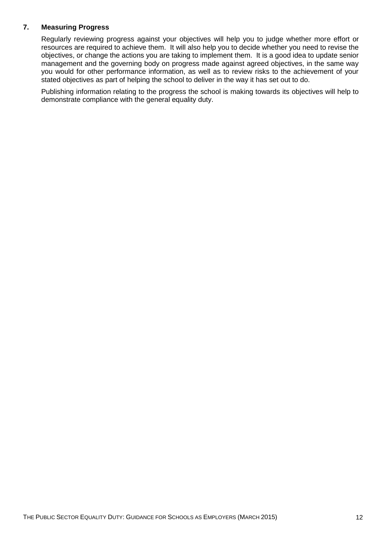# <span id="page-12-0"></span>**7. Measuring Progress**

Regularly reviewing progress against your objectives will help you to judge whether more effort or resources are required to achieve them. It will also help you to decide whether you need to revise the objectives, or change the actions you are taking to implement them. It is a good idea to update senior management and the governing body on progress made against agreed objectives, in the same way you would for other performance information, as well as to review risks to the achievement of your stated objectives as part of helping the school to deliver in the way it has set out to do.

Publishing information relating to the progress the school is making towards its objectives will help to demonstrate compliance with the general equality duty.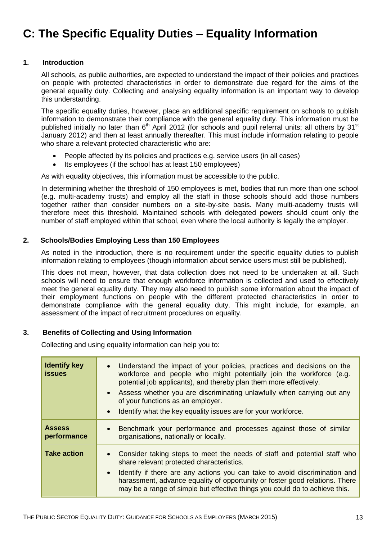#### <span id="page-13-1"></span><span id="page-13-0"></span>**1. Introduction**

All schools, as public authorities, are expected to understand the impact of their policies and practices on people with protected characteristics in order to demonstrate due regard for the aims of the general equality duty. Collecting and analysing equality information is an important way to develop this understanding.

The specific equality duties, however, place an additional specific requirement on schools to publish information to demonstrate their compliance with the general equality duty. This information must be published initially no later than  $6<sup>th</sup>$  April 2012 (for schools and pupil referral units; all others by 31 $st$ January 2012) and then at least annually thereafter. This must include information relating to people who share a relevant protected characteristic who are:

- People affected by its policies and practices e.g. service users (in all cases)
- Its employees (if the school has at least 150 employees)

As with equality objectives, this information must be accessible to the public.

In determining whether the threshold of 150 employees is met, bodies that run more than one school (e.g. multi-academy trusts) and employ all the staff in those schools should add those numbers together rather than consider numbers on a site-by-site basis. Many multi-academy trusts will therefore meet this threshold. Maintained schools with delegated powers should count only the number of staff employed within that school, even where the local authority is legally the employer.

#### <span id="page-13-2"></span>**2. Schools/Bodies Employing Less than 150 Employees**

As noted in the introduction, there is no requirement under the specific equality duties to publish information relating to employees (though information about service users must still be published).

This does not mean, however, that data collection does not need to be undertaken at all. Such schools will need to ensure that enough workforce information is collected and used to effectively meet the general equality duty. They may also need to publish some information about the impact of their employment functions on people with the different protected characteristics in order to demonstrate compliance with the general equality duty. This might include, for example, an assessment of the impact of recruitment procedures on equality.

# <span id="page-13-3"></span>**3. Benefits of Collecting and Using Information**

Collecting and using equality information can help you to:

| <b>Identify key</b><br><b>issues</b> | • Understand the impact of your policies, practices and decisions on the<br>workforce and people who might potentially join the workforce (e.g.<br>potential job applicants), and thereby plan them more effectively.<br>• Assess whether you are discriminating unlawfully when carrying out any<br>of your functions as an employer.<br>Identify what the key equality issues are for your workforce. |
|--------------------------------------|---------------------------------------------------------------------------------------------------------------------------------------------------------------------------------------------------------------------------------------------------------------------------------------------------------------------------------------------------------------------------------------------------------|
| <b>Assess</b><br>performance         | Benchmark your performance and processes against those of similar<br>organisations, nationally or locally.                                                                                                                                                                                                                                                                                              |
| <b>Take action</b>                   | • Consider taking steps to meet the needs of staff and potential staff who<br>share relevant protected characteristics.<br>Identify if there are any actions you can take to avoid discrimination and<br>harassment, advance equality of opportunity or foster good relations. There<br>may be a range of simple but effective things you could do to achieve this.                                     |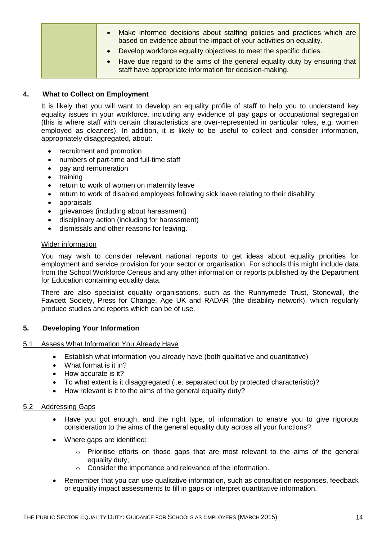| Make informed decisions about staffing policies and practices which are<br>based on evidence about the impact of your activities on equality. |  |
|-----------------------------------------------------------------------------------------------------------------------------------------------|--|
| Develop workforce equality objectives to meet the specific duties.                                                                            |  |
| Have due regard to the aims of the general equality duty by ensuring that<br>staff have appropriate information for decision-making.          |  |

# <span id="page-14-0"></span>**4. What to Collect on Employment**

It is likely that you will want to develop an equality profile of staff to help you to understand key equality issues in your workforce, including any evidence of pay gaps or occupational segregation (this is where staff with certain characteristics are over-represented in particular roles, e.g. women employed as cleaners). In addition, it is likely to be useful to collect and consider information, appropriately disaggregated, about:

- recruitment and promotion
- numbers of part-time and full-time staff
- pay and remuneration
- training
- return to work of women on maternity leave
- return to work of disabled employees following sick leave relating to their disability
- appraisals
- grievances (including about harassment)
- disciplinary action (including for harassment)
- dismissals and other reasons for leaving.

# Wider information

You may wish to consider relevant national reports to get ideas about equality priorities for employment and service provision for your sector or organisation. For schools this might include data from the School Workforce Census and any other information or reports published by the Department for Education containing equality data.

There are also specialist equality organisations, such as the Runnymede Trust, Stonewall, the Fawcett Society, Press for Change, Age UK and RADAR (the disability network), which regularly produce studies and reports which can be of use.

# <span id="page-14-1"></span>**5. Developing Your Information**

# 5.1 Assess What Information You Already Have

- Establish what information you already have (both qualitative and quantitative)
- What format is it in?
- How accurate is it?
- To what extent is it disaggregated (i.e. separated out by protected characteristic)?
- How relevant is it to the aims of the general equality duty?

# 5.2 Addressing Gaps

- Have you got enough, and the right type, of information to enable you to give rigorous consideration to the aims of the general equality duty across all your functions?
- Where gaps are identified:
	- o Prioritise efforts on those gaps that are most relevant to the aims of the general equality duty;
	- o Consider the importance and relevance of the information.
- Remember that you can use qualitative information, such as consultation responses, feedback or equality impact assessments to fill in gaps or interpret quantitative information.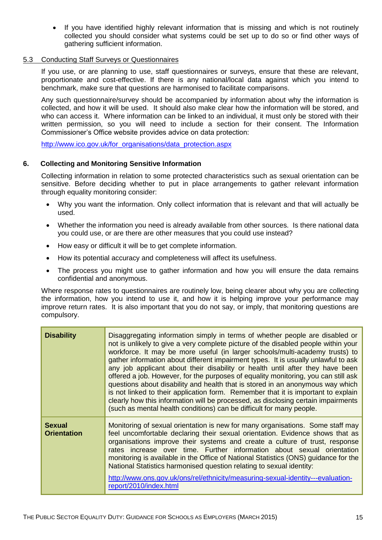If you have identified highly relevant information that is missing and which is not routinely collected you should consider what systems could be set up to do so or find other ways of gathering sufficient information.

#### 5.3 Conducting Staff Surveys or Questionnaires

If you use, or are planning to use, staff questionnaires or surveys, ensure that these are relevant, proportionate and cost-effective. If there is any national/local data against which you intend to benchmark, make sure that questions are harmonised to facilitate comparisons.

Any such questionnaire/survey should be accompanied by information about why the information is collected, and how it will be used. It should also make clear how the information will be stored, and who can access it. Where information can be linked to an individual, it must only be stored with their written permission, so you will need to include a section for their consent. The Information Commissioner's Office website provides advice on data protection:

<span id="page-15-0"></span>[http://www.ico.gov.uk/for\\_organisations/data\\_protection.aspx](http://www.ico.gov.uk/for_organisations/data_protection.aspx)

# **6. Collecting and Monitoring Sensitive Information**

Collecting information in relation to some protected characteristics such as sexual orientation can be sensitive. Before deciding whether to put in place arrangements to gather relevant information through equality monitoring consider:

- Why you want the information. Only collect information that is relevant and that will actually be used.
- Whether the information you need is already available from other sources. Is there national data you could use, or are there are other measures that you could use instead?
- How easy or difficult it will be to get complete information.
- How its potential accuracy and completeness will affect its usefulness.
- The process you might use to gather information and how you will ensure the data remains confidential and anonymous.

Where response rates to questionnaires are routinely low, being clearer about why you are collecting the information, how you intend to use it, and how it is helping improve your performance may improve return rates. It is also important that you do not say, or imply, that monitoring questions are compulsory.

| <b>Disability</b>                   | Disaggregating information simply in terms of whether people are disabled or<br>not is unlikely to give a very complete picture of the disabled people within your<br>workforce. It may be more useful (in larger schools/multi-academy trusts) to<br>gather information about different impairment types. It is usually unlawful to ask<br>any job applicant about their disability or health until after they have been<br>offered a job. However, for the purposes of equality monitoring, you can still ask<br>questions about disability and health that is stored in an anonymous way which<br>is not linked to their application form. Remember that it is important to explain<br>clearly how this information will be processed, as disclosing certain impairments<br>(such as mental health conditions) can be difficult for many people. |
|-------------------------------------|-----------------------------------------------------------------------------------------------------------------------------------------------------------------------------------------------------------------------------------------------------------------------------------------------------------------------------------------------------------------------------------------------------------------------------------------------------------------------------------------------------------------------------------------------------------------------------------------------------------------------------------------------------------------------------------------------------------------------------------------------------------------------------------------------------------------------------------------------------|
| <b>Sexual</b><br><b>Orientation</b> | Monitoring of sexual orientation is new for many organisations. Some staff may<br>feel uncomfortable declaring their sexual orientation. Evidence shows that as<br>organisations improve their systems and create a culture of trust, response<br>rates increase over time. Further information about sexual orientation<br>monitoring is available in the Office of National Statistics (ONS) guidance for the<br>National Statistics harmonised question relating to sexual identity:<br>http://www.ons.gov.uk/ons/rel/ethnicity/measuring-sexual-identity---evaluation-<br>report/2010/index.html                                                                                                                                                                                                                                                |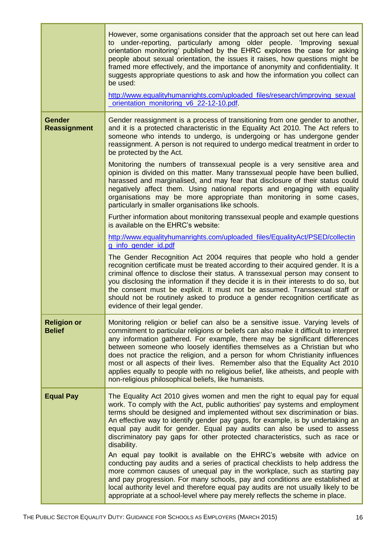|                                      | However, some organisations consider that the approach set out here can lead<br>to under-reporting, particularly among older people. 'Improving sexual<br>orientation monitoring' published by the EHRC explores the case for asking<br>people about sexual orientation, the issues it raises, how questions might be<br>framed more effectively, and the importance of anonymity and confidentiality. It<br>suggests appropriate questions to ask and how the information you collect can<br>be used:<br>http://www.equalityhumanrights.com/uploaded_files/research/improving_sexual<br>_orientation_monitoring_v6_22-12-10.pdf.                 |
|--------------------------------------|---------------------------------------------------------------------------------------------------------------------------------------------------------------------------------------------------------------------------------------------------------------------------------------------------------------------------------------------------------------------------------------------------------------------------------------------------------------------------------------------------------------------------------------------------------------------------------------------------------------------------------------------------|
| <b>Gender</b><br><b>Reassignment</b> | Gender reassignment is a process of transitioning from one gender to another,<br>and it is a protected characteristic in the Equality Act 2010. The Act refers to<br>someone who intends to undergo, is undergoing or has undergone gender<br>reassignment. A person is not required to undergo medical treatment in order to<br>be protected by the Act.                                                                                                                                                                                                                                                                                         |
|                                      | Monitoring the numbers of transsexual people is a very sensitive area and<br>opinion is divided on this matter. Many transsexual people have been bullied,<br>harassed and marginalised, and may fear that disclosure of their status could<br>negatively affect them. Using national reports and engaging with equality<br>organisations may be more appropriate than monitoring in some cases,<br>particularly in smaller organisations like schools.                                                                                                                                                                                           |
|                                      | Further information about monitoring transsexual people and example questions<br>is available on the EHRC's website:                                                                                                                                                                                                                                                                                                                                                                                                                                                                                                                              |
|                                      | http://www.equalityhumanrights.com/uploaded_files/EqualityAct/PSED/collectin<br>g_info_gender_id.pdf                                                                                                                                                                                                                                                                                                                                                                                                                                                                                                                                              |
|                                      | The Gender Recognition Act 2004 requires that people who hold a gender<br>recognition certificate must be treated according to their acquired gender. It is a<br>criminal offence to disclose their status. A transsexual person may consent to<br>you disclosing the information if they decide it is in their interests to do so, but<br>the consent must be explicit. It must not be assumed. Transsexual staff or<br>should not be routinely asked to produce a gender recognition certificate as<br>evidence of their legal gender.                                                                                                          |
| <b>Religion or</b><br><b>Belief</b>  | Monitoring religion or belief can also be a sensitive issue. Varying levels of<br>commitment to particular religions or beliefs can also make it difficult to interpret<br>any information gathered. For example, there may be significant differences<br>between someone who loosely identifies themselves as a Christian but who<br>does not practice the religion, and a person for whom Christianity influences<br>most or all aspects of their lives. Remember also that the Equality Act 2010<br>applies equally to people with no religious belief, like atheists, and people with<br>non-religious philosophical beliefs, like humanists. |
| <b>Equal Pay</b>                     | The Equality Act 2010 gives women and men the right to equal pay for equal<br>work. To comply with the Act, public authorities' pay systems and employment<br>terms should be designed and implemented without sex discrimination or bias.<br>An effective way to identify gender pay gaps, for example, is by undertaking an<br>equal pay audit for gender. Equal pay audits can also be used to assess<br>discriminatory pay gaps for other protected characteristics, such as race or<br>disability.                                                                                                                                           |
|                                      | An equal pay toolkit is available on the EHRC's website with advice on<br>conducting pay audits and a series of practical checklists to help address the<br>more common causes of unequal pay in the workplace, such as starting pay<br>and pay progression. For many schools, pay and conditions are established at<br>local authority level and therefore equal pay audits are not usually likely to be<br>appropriate at a school-level where pay merely reflects the scheme in place.                                                                                                                                                         |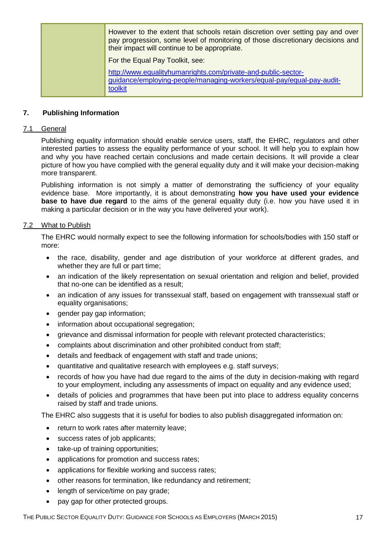| However to the extent that schools retain discretion over setting pay and over<br>pay progression, some level of monitoring of those discretionary decisions and<br>their impact will continue to be appropriate. |
|-------------------------------------------------------------------------------------------------------------------------------------------------------------------------------------------------------------------|
| For the Equal Pay Toolkit, see:                                                                                                                                                                                   |
| http://www.equalityhumanrights.com/private-and-public-sector-<br>guidance/employing-people/managing-workers/equal-pay/equal-pay-audit-<br>toolkit                                                                 |

#### <span id="page-17-0"></span>**7. Publishing Information**

#### 7.1 General

Publishing equality information should enable service users, staff, the EHRC, regulators and other interested parties to assess the equality performance of your school. It will help you to explain how and why you have reached certain conclusions and made certain decisions. It will provide a clear picture of how you have complied with the general equality duty and it will make your decision-making more transparent.

Publishing information is not simply a matter of demonstrating the sufficiency of your equality evidence base. More importantly, it is about demonstrating **how you have used your evidence base to have due regard** to the aims of the general equality duty (i.e. how you have used it in making a particular decision or in the way you have delivered your work).

#### 7.2 What to Publish

The EHRC would normally expect to see the following information for schools/bodies with 150 staff or more:

- the race, disability, gender and age distribution of your workforce at different grades, and whether they are full or part time;
- an indication of the likely representation on sexual orientation and religion and belief, provided that no-one can be identified as a result;
- an indication of any issues for transsexual staff, based on engagement with transsexual staff or equality organisations;
- gender pay gap information;
- information about occupational segregation;
- grievance and dismissal information for people with relevant protected characteristics;
- complaints about discrimination and other prohibited conduct from staff;
- details and feedback of engagement with staff and trade unions;
- quantitative and qualitative research with employees e.g. staff surveys;
- records of how you have had due regard to the aims of the duty in decision-making with regard to your employment, including any assessments of impact on equality and any evidence used;
- details of policies and programmes that have been put into place to address equality concerns raised by staff and trade unions.

The EHRC also suggests that it is useful for bodies to also publish disaggregated information on:

- return to work rates after maternity leave;
- success rates of job applicants;
- take-up of training opportunities;
- applications for promotion and success rates;
- applications for flexible working and success rates:
- other reasons for termination, like redundancy and retirement;
- length of service/time on pay grade;
- pay gap for other protected groups.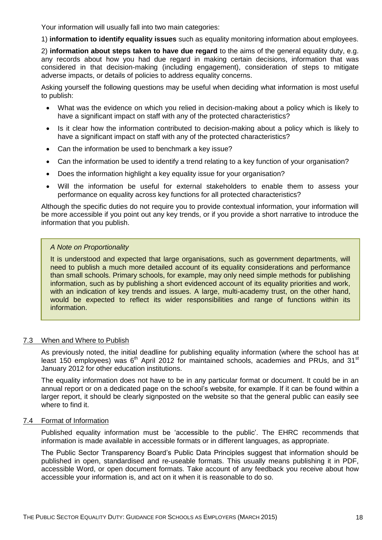Your information will usually fall into two main categories:

1) **information to identify equality issues** such as equality monitoring information about employees.

2) **information about steps taken to have due regard** to the aims of the general equality duty, e.g. any records about how you had due regard in making certain decisions, information that was considered in that decision-making (including engagement), consideration of steps to mitigate adverse impacts, or details of policies to address equality concerns.

Asking yourself the following questions may be useful when deciding what information is most useful to publish:

- What was the evidence on which you relied in decision-making about a policy which is likely to have a significant impact on staff with any of the protected characteristics?
- Is it clear how the information contributed to decision-making about a policy which is likely to have a significant impact on staff with any of the protected characteristics?
- Can the information be used to benchmark a key issue?
- Can the information be used to identify a trend relating to a key function of your organisation?
- Does the information highlight a key equality issue for your organisation?
- Will the information be useful for external stakeholders to enable them to assess your performance on equality across key functions for all protected characteristics?

Although the specific duties do not require you to provide contextual information, your information will be more accessible if you point out any key trends, or if you provide a short narrative to introduce the information that you publish.

#### *A Note on Proportionality*

It is understood and expected that large organisations, such as government departments, will need to publish a much more detailed account of its equality considerations and performance than small schools. Primary schools, for example, may only need simple methods for publishing information, such as by publishing a short evidenced account of its equality priorities and work, with an indication of key trends and issues. A large, multi-academy trust, on the other hand, would be expected to reflect its wider responsibilities and range of functions within its information.

#### 7.3 When and Where to Publish

As previously noted, the initial deadline for publishing equality information (where the school has at least 150 employees) was  $6<sup>th</sup>$  April 2012 for maintained schools, academies and PRUs, and 31 $<sup>st</sup>$ </sup> January 2012 for other education institutions.

The equality information does not have to be in any particular format or document. It could be in an annual report or on a dedicated page on the school's website, for example. If it can be found within a larger report, it should be clearly signposted on the website so that the general public can easily see where to find it.

#### 7.4 Format of Information

Published equality information must be 'accessible to the public'. The EHRC recommends that information is made available in accessible formats or in different languages, as appropriate.

The Public Sector Transparency Board's Public Data Principles suggest that information should be published in open, standardised and re-useable formats. This usually means publishing it in PDF, accessible Word, or open document formats. Take account of any feedback you receive about how accessible your information is, and act on it when it is reasonable to do so.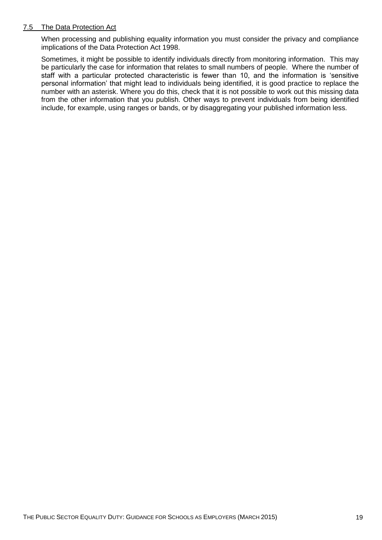#### 7.5 The Data Protection Act

When processing and publishing equality information you must consider the privacy and compliance implications of the Data Protection Act 1998.

Sometimes, it might be possible to identify individuals directly from monitoring information. This may be particularly the case for information that relates to small numbers of people. Where the number of staff with a particular protected characteristic is fewer than 10, and the information is 'sensitive personal information' that might lead to individuals being identified, it is good practice to replace the number with an asterisk. Where you do this, check that it is not possible to work out this missing data from the other information that you publish. Other ways to prevent individuals from being identified include, for example, using ranges or bands, or by disaggregating your published information less.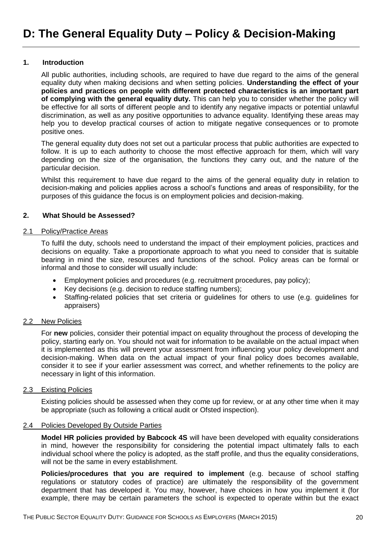#### <span id="page-20-1"></span><span id="page-20-0"></span>**1. Introduction**

All public authorities, including schools, are required to have due regard to the aims of the general equality duty when making decisions and when setting policies. **Understanding the effect of your policies and practices on people with different protected characteristics is an important part of complying with the general equality duty.** This can help you to consider whether the policy will be effective for all sorts of different people and to identify any negative impacts or potential unlawful discrimination, as well as any positive opportunities to advance equality. Identifying these areas may help you to develop practical courses of action to mitigate negative consequences or to promote positive ones.

The general equality duty does not set out a particular process that public authorities are expected to follow. It is up to each authority to choose the most effective approach for them, which will vary depending on the size of the organisation, the functions they carry out, and the nature of the particular decision.

Whilst this requirement to have due regard to the aims of the general equality duty in relation to decision-making and policies applies across a school's functions and areas of responsibility, for the purposes of this guidance the focus is on employment policies and decision-making.

#### <span id="page-20-2"></span>**2. What Should be Assessed?**

# 2.1 Policy/Practice Areas

To fulfil the duty, schools need to understand the impact of their employment policies, practices and decisions on equality. Take a proportionate approach to what you need to consider that is suitable bearing in mind the size, resources and functions of the school. Policy areas can be formal or informal and those to consider will usually include:

- Employment policies and procedures (e.g. recruitment procedures, pay policy);
- Key decisions (e.g. decision to reduce staffing numbers);
- Staffing-related policies that set criteria or guidelines for others to use (e.g. guidelines for appraisers)

#### 2.2 New Policies

For **new** policies, consider their potential impact on equality throughout the process of developing the policy, starting early on. You should not wait for information to be available on the actual impact when it is implemented as this will prevent your assessment from influencing your policy development and decision-making. When data on the actual impact of your final policy does becomes available, consider it to see if your earlier assessment was correct, and whether refinements to the policy are necessary in light of this information.

#### 2.3 Existing Policies

Existing policies should be assessed when they come up for review, or at any other time when it may be appropriate (such as following a critical audit or Ofsted inspection).

#### 2.4 Policies Developed By Outside Parties

**Model HR policies provided by Babcock 4S** will have been developed with equality considerations in mind, however the responsibility for considering the potential impact ultimately falls to each individual school where the policy is adopted, as the staff profile, and thus the equality considerations, will not be the same in every establishment.

**Policies/procedures that you are required to implement** (e.g. because of school staffing regulations or statutory codes of practice) are ultimately the responsibility of the government department that has developed it. You may, however, have choices in how you implement it (for example, there may be certain parameters the school is expected to operate within but the exact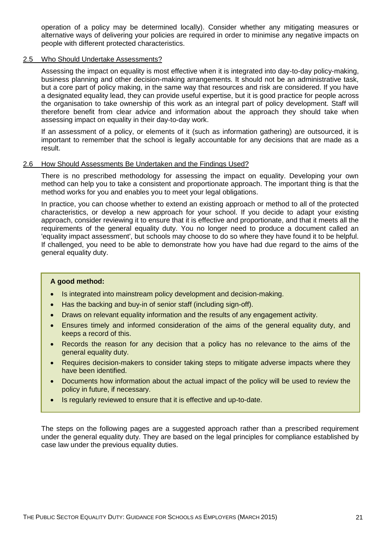operation of a policy may be determined locally). Consider whether any mitigating measures or alternative ways of delivering your policies are required in order to minimise any negative impacts on people with different protected characteristics.

#### 2.5 Who Should Undertake Assessments?

Assessing the impact on equality is most effective when it is integrated into day-to-day policy-making, business planning and other decision-making arrangements. It should not be an administrative task, but a core part of policy making, in the same way that resources and risk are considered. If you have a designated equality lead, they can provide useful expertise, but it is good practice for people across the organisation to take ownership of this work as an integral part of policy development. Staff will therefore benefit from clear advice and information about the approach they should take when assessing impact on equality in their day-to-day work.

If an assessment of a policy, or elements of it (such as information gathering) are outsourced, it is important to remember that the school is legally accountable for any decisions that are made as a result.

#### 2.6 How Should Assessments Be Undertaken and the Findings Used?

There is no prescribed methodology for assessing the impact on equality. Developing your own method can help you to take a consistent and proportionate approach. The important thing is that the method works for you and enables you to meet your legal obligations.

In practice, you can choose whether to extend an existing approach or method to all of the protected characteristics, or develop a new approach for your school. If you decide to adapt your existing approach, consider reviewing it to ensure that it is effective and proportionate, and that it meets all the requirements of the general equality duty. You no longer need to produce a document called an 'equality impact assessment', but schools may choose to do so where they have found it to be helpful. If challenged, you need to be able to demonstrate how you have had due regard to the aims of the general equality duty.

#### **A good method:**

- Is integrated into mainstream policy development and decision-making.
- Has the backing and buy-in of senior staff (including sign-off).
- Draws on relevant equality information and the results of any engagement activity.
- Ensures timely and informed consideration of the aims of the general equality duty, and keeps a record of this.
- Records the reason for any decision that a policy has no relevance to the aims of the general equality duty.
- Requires decision-makers to consider taking steps to mitigate adverse impacts where they have been identified.
- Documents how information about the actual impact of the policy will be used to review the policy in future, if necessary.
- Is regularly reviewed to ensure that it is effective and up-to-date.

The steps on the following pages are a suggested approach rather than a prescribed requirement under the general equality duty. They are based on the legal principles for compliance established by case law under the previous equality duties.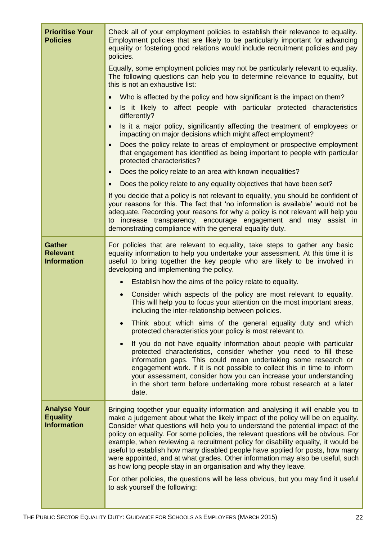| <b>Prioritise Your</b><br><b>Policies</b>                    | Check all of your employment policies to establish their relevance to equality.<br>Employment policies that are likely to be particularly important for advancing<br>equality or fostering good relations would include recruitment policies and pay<br>policies.                                                                                                                                                                                                                                                                                                                                                                                                      |
|--------------------------------------------------------------|------------------------------------------------------------------------------------------------------------------------------------------------------------------------------------------------------------------------------------------------------------------------------------------------------------------------------------------------------------------------------------------------------------------------------------------------------------------------------------------------------------------------------------------------------------------------------------------------------------------------------------------------------------------------|
|                                                              | Equally, some employment policies may not be particularly relevant to equality.<br>The following questions can help you to determine relevance to equality, but<br>this is not an exhaustive list:                                                                                                                                                                                                                                                                                                                                                                                                                                                                     |
|                                                              | Who is affected by the policy and how significant is the impact on them?<br>$\bullet$                                                                                                                                                                                                                                                                                                                                                                                                                                                                                                                                                                                  |
|                                                              | Is it likely to affect people with particular protected characteristics<br>$\bullet$<br>differently?                                                                                                                                                                                                                                                                                                                                                                                                                                                                                                                                                                   |
|                                                              | Is it a major policy, significantly affecting the treatment of employees or<br>$\bullet$<br>impacting on major decisions which might affect employment?                                                                                                                                                                                                                                                                                                                                                                                                                                                                                                                |
|                                                              | Does the policy relate to areas of employment or prospective employment<br>$\bullet$<br>that engagement has identified as being important to people with particular<br>protected characteristics?                                                                                                                                                                                                                                                                                                                                                                                                                                                                      |
|                                                              | Does the policy relate to an area with known inequalities?<br>$\bullet$                                                                                                                                                                                                                                                                                                                                                                                                                                                                                                                                                                                                |
|                                                              | Does the policy relate to any equality objectives that have been set?<br>$\bullet$                                                                                                                                                                                                                                                                                                                                                                                                                                                                                                                                                                                     |
|                                                              | If you decide that a policy is not relevant to equality, you should be confident of<br>your reasons for this. The fact that 'no information is available' would not be<br>adequate. Recording your reasons for why a policy is not relevant will help you<br>to increase transparency, encourage engagement and may assist in                                                                                                                                                                                                                                                                                                                                          |
|                                                              | demonstrating compliance with the general equality duty.                                                                                                                                                                                                                                                                                                                                                                                                                                                                                                                                                                                                               |
| <b>Gather</b><br><b>Relevant</b><br><b>Information</b>       | For policies that are relevant to equality, take steps to gather any basic<br>equality information to help you undertake your assessment. At this time it is<br>useful to bring together the key people who are likely to be involved in<br>developing and implementing the policy.                                                                                                                                                                                                                                                                                                                                                                                    |
|                                                              | Establish how the aims of the policy relate to equality.                                                                                                                                                                                                                                                                                                                                                                                                                                                                                                                                                                                                               |
|                                                              | Consider which aspects of the policy are most relevant to equality.<br>$\bullet$<br>This will help you to focus your attention on the most important areas,<br>including the inter-relationship between policies.                                                                                                                                                                                                                                                                                                                                                                                                                                                      |
|                                                              | Think about which aims of the general equality duty and which<br>protected characteristics your policy is most relevant to.                                                                                                                                                                                                                                                                                                                                                                                                                                                                                                                                            |
|                                                              | If you do not have equality information about people with particular<br>protected characteristics, consider whether you need to fill these<br>information gaps. This could mean undertaking some research or<br>engagement work. If it is not possible to collect this in time to inform<br>your assessment, consider how you can increase your understanding<br>in the short term before undertaking more robust research at a later<br>date.                                                                                                                                                                                                                         |
| <b>Analyse Your</b><br><b>Equality</b><br><b>Information</b> | Bringing together your equality information and analysing it will enable you to<br>make a judgement about what the likely impact of the policy will be on equality.<br>Consider what questions will help you to understand the potential impact of the<br>policy on equality. For some policies, the relevant questions will be obvious. For<br>example, when reviewing a recruitment policy for disability equality, it would be<br>useful to establish how many disabled people have applied for posts, how many<br>were appointed, and at what grades. Other information may also be useful, such<br>as how long people stay in an organisation and why they leave. |
|                                                              | For other policies, the questions will be less obvious, but you may find it useful<br>to ask yourself the following:                                                                                                                                                                                                                                                                                                                                                                                                                                                                                                                                                   |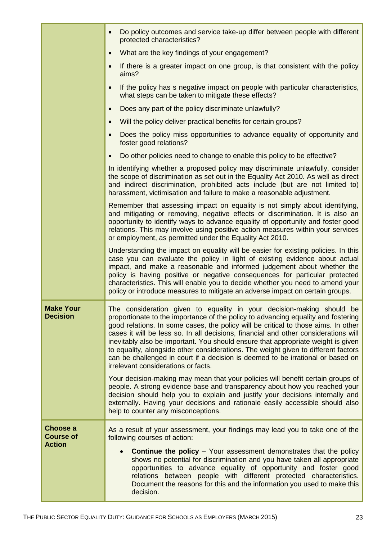|                                               | Do policy outcomes and service take-up differ between people with different<br>$\bullet$<br>protected characteristics?                                                                                                                                                                                                                                                                                                                                                                                                                                                                                                                      |
|-----------------------------------------------|---------------------------------------------------------------------------------------------------------------------------------------------------------------------------------------------------------------------------------------------------------------------------------------------------------------------------------------------------------------------------------------------------------------------------------------------------------------------------------------------------------------------------------------------------------------------------------------------------------------------------------------------|
|                                               | What are the key findings of your engagement?<br>$\bullet$                                                                                                                                                                                                                                                                                                                                                                                                                                                                                                                                                                                  |
|                                               | If there is a greater impact on one group, is that consistent with the policy<br>$\bullet$<br>aims?                                                                                                                                                                                                                                                                                                                                                                                                                                                                                                                                         |
|                                               | If the policy has s negative impact on people with particular characteristics,<br>$\bullet$<br>what steps can be taken to mitigate these effects?                                                                                                                                                                                                                                                                                                                                                                                                                                                                                           |
|                                               | Does any part of the policy discriminate unlawfully?<br>$\bullet$                                                                                                                                                                                                                                                                                                                                                                                                                                                                                                                                                                           |
|                                               | Will the policy deliver practical benefits for certain groups?<br>$\bullet$                                                                                                                                                                                                                                                                                                                                                                                                                                                                                                                                                                 |
|                                               | Does the policy miss opportunities to advance equality of opportunity and<br>$\bullet$<br>foster good relations?                                                                                                                                                                                                                                                                                                                                                                                                                                                                                                                            |
|                                               | Do other policies need to change to enable this policy to be effective?<br>$\bullet$                                                                                                                                                                                                                                                                                                                                                                                                                                                                                                                                                        |
|                                               | In identifying whether a proposed policy may discriminate unlawfully, consider<br>the scope of discrimination as set out in the Equality Act 2010. As well as direct<br>and indirect discrimination, prohibited acts include (but are not limited to)<br>harassment, victimisation and failure to make a reasonable adjustment.                                                                                                                                                                                                                                                                                                             |
|                                               | Remember that assessing impact on equality is not simply about identifying,<br>and mitigating or removing, negative effects or discrimination. It is also an<br>opportunity to identify ways to advance equality of opportunity and foster good<br>relations. This may involve using positive action measures within your services<br>or employment, as permitted under the Equality Act 2010.                                                                                                                                                                                                                                              |
|                                               | Understanding the impact on equality will be easier for existing policies. In this<br>case you can evaluate the policy in light of existing evidence about actual<br>impact, and make a reasonable and informed judgement about whether the<br>policy is having positive or negative consequences for particular protected<br>characteristics. This will enable you to decide whether you need to amend your<br>policy or introduce measures to mitigate an adverse impact on certain groups.                                                                                                                                               |
| <b>Make Your</b><br><b>Decision</b>           | The consideration given to equality in your decision-making should be<br>proportionate to the importance of the policy to advancing equality and fostering<br>good relations. In some cases, the policy will be critical to those aims. In other<br>cases it will be less so. In all decisions, financial and other considerations will<br>inevitably also be important. You should ensure that appropriate weight is given<br>to equality, alongside other considerations. The weight given to different factors<br>can be challenged in court if a decision is deemed to be irrational or based on<br>irrelevant considerations or facts. |
|                                               | Your decision-making may mean that your policies will benefit certain groups of<br>people. A strong evidence base and transparency about how you reached your<br>decision should help you to explain and justify your decisions internally and<br>externally. Having your decisions and rationale easily accessible should also<br>help to counter any misconceptions.                                                                                                                                                                                                                                                                      |
| Choose a<br><b>Course of</b><br><b>Action</b> | As a result of your assessment, your findings may lead you to take one of the<br>following courses of action:                                                                                                                                                                                                                                                                                                                                                                                                                                                                                                                               |
|                                               | <b>Continue the policy</b> – Your assessment demonstrates that the policy<br>shows no potential for discrimination and you have taken all appropriate<br>opportunities to advance equality of opportunity and foster good<br>relations between people with different protected characteristics.<br>Document the reasons for this and the information you used to make this<br>decision.                                                                                                                                                                                                                                                     |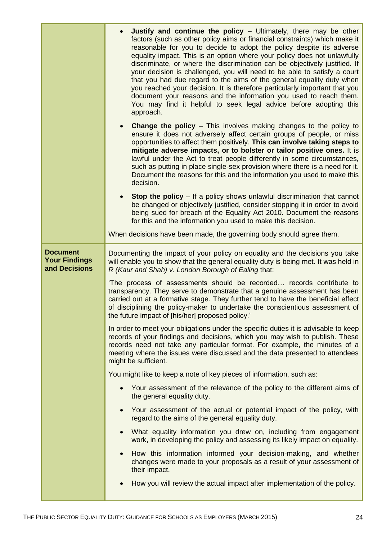|                                                          | Justify and continue the policy $-$ Ultimately, there may be other<br>factors (such as other policy aims or financial constraints) which make it<br>reasonable for you to decide to adopt the policy despite its adverse<br>equality impact. This is an option where your policy does not unlawfully<br>discriminate, or where the discrimination can be objectively justified. If<br>your decision is challenged, you will need to be able to satisfy a court<br>that you had due regard to the aims of the general equality duty when<br>you reached your decision. It is therefore particularly important that you<br>document your reasons and the information you used to reach them.<br>You may find it helpful to seek legal advice before adopting this<br>approach. |
|----------------------------------------------------------|------------------------------------------------------------------------------------------------------------------------------------------------------------------------------------------------------------------------------------------------------------------------------------------------------------------------------------------------------------------------------------------------------------------------------------------------------------------------------------------------------------------------------------------------------------------------------------------------------------------------------------------------------------------------------------------------------------------------------------------------------------------------------|
|                                                          | <b>Change the policy</b> – This involves making changes to the policy to<br>ensure it does not adversely affect certain groups of people, or miss<br>opportunities to affect them positively. This can involve taking steps to<br>mitigate adverse impacts, or to bolster or tailor positive ones. It is<br>lawful under the Act to treat people differently in some circumstances,<br>such as putting in place single-sex provision where there is a need for it.<br>Document the reasons for this and the information you used to make this<br>decision.                                                                                                                                                                                                                   |
|                                                          | <b>Stop the policy</b> – If a policy shows unlawful discrimination that cannot<br>be changed or objectively justified, consider stopping it in order to avoid<br>being sued for breach of the Equality Act 2010. Document the reasons<br>for this and the information you used to make this decision.                                                                                                                                                                                                                                                                                                                                                                                                                                                                        |
|                                                          | When decisions have been made, the governing body should agree them.                                                                                                                                                                                                                                                                                                                                                                                                                                                                                                                                                                                                                                                                                                         |
| <b>Document</b><br><b>Your Findings</b><br>and Decisions | Documenting the impact of your policy on equality and the decisions you take<br>will enable you to show that the general equality duty is being met. It was held in<br>R (Kaur and Shah) v. London Borough of Ealing that:                                                                                                                                                                                                                                                                                                                                                                                                                                                                                                                                                   |
|                                                          | 'The process of assessments should be recorded records contribute to<br>transparency. They serve to demonstrate that a genuine assessment has been<br>carried out at a formative stage. They further tend to have the beneficial effect<br>of disciplining the policy-maker to undertake the conscientious assessment of<br>the future impact of [his/her] proposed policy.'                                                                                                                                                                                                                                                                                                                                                                                                 |
|                                                          | In order to meet your obligations under the specific duties it is advisable to keep<br>records of your findings and decisions, which you may wish to publish. These<br>records need not take any particular format. For example, the minutes of a<br>meeting where the issues were discussed and the data presented to attendees<br>might be sufficient.                                                                                                                                                                                                                                                                                                                                                                                                                     |
|                                                          | You might like to keep a note of key pieces of information, such as:                                                                                                                                                                                                                                                                                                                                                                                                                                                                                                                                                                                                                                                                                                         |
|                                                          | Your assessment of the relevance of the policy to the different aims of<br>the general equality duty.                                                                                                                                                                                                                                                                                                                                                                                                                                                                                                                                                                                                                                                                        |
|                                                          | Your assessment of the actual or potential impact of the policy, with<br>regard to the aims of the general equality duty.                                                                                                                                                                                                                                                                                                                                                                                                                                                                                                                                                                                                                                                    |
|                                                          | What equality information you drew on, including from engagement<br>work, in developing the policy and assessing its likely impact on equality.                                                                                                                                                                                                                                                                                                                                                                                                                                                                                                                                                                                                                              |
|                                                          | How this information informed your decision-making, and whether<br>changes were made to your proposals as a result of your assessment of<br>their impact.                                                                                                                                                                                                                                                                                                                                                                                                                                                                                                                                                                                                                    |
|                                                          | How you will review the actual impact after implementation of the policy.                                                                                                                                                                                                                                                                                                                                                                                                                                                                                                                                                                                                                                                                                                    |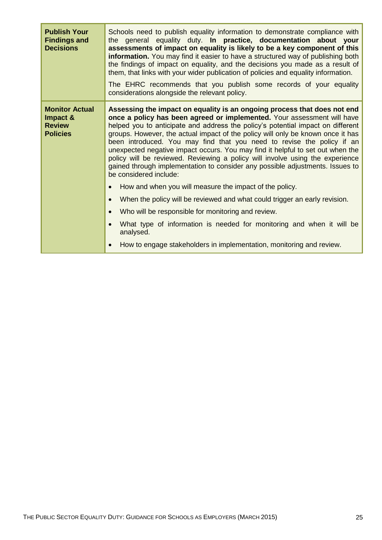| <b>Publish Your</b><br><b>Findings and</b><br><b>Decisions</b>        | Schools need to publish equality information to demonstrate compliance with<br>the general equality duty. In practice, documentation about your<br>assessments of impact on equality is likely to be a key component of this<br>information. You may find it easier to have a structured way of publishing both<br>the findings of impact on equality, and the decisions you made as a result of<br>them, that links with your wider publication of policies and equality information.<br>The EHRC recommends that you publish some records of your equality<br>considerations alongside the relevant policy.                                                                                                                                |
|-----------------------------------------------------------------------|----------------------------------------------------------------------------------------------------------------------------------------------------------------------------------------------------------------------------------------------------------------------------------------------------------------------------------------------------------------------------------------------------------------------------------------------------------------------------------------------------------------------------------------------------------------------------------------------------------------------------------------------------------------------------------------------------------------------------------------------|
| <b>Monitor Actual</b><br>Impact &<br><b>Review</b><br><b>Policies</b> | Assessing the impact on equality is an ongoing process that does not end<br>once a policy has been agreed or implemented. Your assessment will have<br>helped you to anticipate and address the policy's potential impact on different<br>groups. However, the actual impact of the policy will only be known once it has<br>been introduced. You may find that you need to revise the policy if an<br>unexpected negative impact occurs. You may find it helpful to set out when the<br>policy will be reviewed. Reviewing a policy will involve using the experience<br>gained through implementation to consider any possible adjustments. Issues to<br>be considered include:<br>How and when you will measure the impact of the policy. |
|                                                                       | When the policy will be reviewed and what could trigger an early revision.<br>Who will be responsible for monitoring and review.                                                                                                                                                                                                                                                                                                                                                                                                                                                                                                                                                                                                             |
|                                                                       | What type of information is needed for monitoring and when it will be<br>analysed.                                                                                                                                                                                                                                                                                                                                                                                                                                                                                                                                                                                                                                                           |
|                                                                       | How to engage stakeholders in implementation, monitoring and review.<br>$\bullet$                                                                                                                                                                                                                                                                                                                                                                                                                                                                                                                                                                                                                                                            |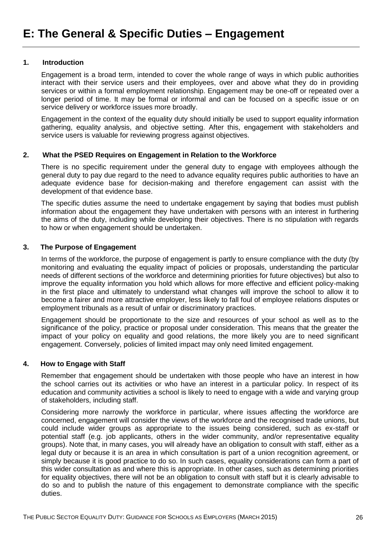#### <span id="page-26-1"></span><span id="page-26-0"></span>**1. Introduction**

Engagement is a broad term, intended to cover the whole range of ways in which public authorities interact with their service users and their employees, over and above what they do in providing services or within a formal employment relationship. Engagement may be one-off or repeated over a longer period of time. It may be formal or informal and can be focused on a specific issue or on service delivery or workforce issues more broadly.

Engagement in the context of the equality duty should initially be used to support equality information gathering, equality analysis, and objective setting. After this, engagement with stakeholders and service users is valuable for reviewing progress against objectives.

# **2. What the PSED Requires on Engagement in Relation to the Workforce**

<span id="page-26-2"></span>There is no specific requirement under the general duty to engage with employees although the general duty to pay due regard to the need to advance equality requires public authorities to have an adequate evidence base for decision-making and therefore engagement can assist with the development of that evidence base.

The specific duties assume the need to undertake engagement by saying that bodies must publish information about the engagement they have undertaken with persons with an interest in furthering the aims of the duty, including while developing their objectives. There is no stipulation with regards to how or when engagement should be undertaken.

#### <span id="page-26-3"></span>**3. The Purpose of Engagement**

In terms of the workforce, the purpose of engagement is partly to ensure compliance with the duty (by monitoring and evaluating the equality impact of policies or proposals, understanding the particular needs of different sections of the workforce and determining priorities for future objectives) but also to improve the equality information you hold which allows for more effective and efficient policy-making in the first place and ultimately to understand what changes will improve the school to allow it to become a fairer and more attractive employer, less likely to fall foul of employee relations disputes or employment tribunals as a result of unfair or discriminatory practices.

Engagement should be proportionate to the size and resources of your school as well as to the significance of the policy, practice or proposal under consideration. This means that the greater the impact of your policy on equality and good relations, the more likely you are to need significant engagement. Conversely, policies of limited impact may only need limited engagement.

#### <span id="page-26-4"></span>**4. How to Engage with Staff**

Remember that engagement should be undertaken with those people who have an interest in how the school carries out its activities or who have an interest in a particular policy. In respect of its education and community activities a school is likely to need to engage with a wide and varying group of stakeholders, including staff.

Considering more narrowly the workforce in particular, where issues affecting the workforce are concerned, engagement will consider the views of the workforce and the recognised trade unions, but could include wider groups as appropriate to the issues being considered, such as ex-staff or potential staff (e.g. job applicants, others in the wider community, and/or representative equality groups). Note that, in many cases, you will already have an obligation to consult with staff, either as a legal duty or because it is an area in which consultation is part of a union recognition agreement, or simply because it is good practice to do so. In such cases, equality considerations can form a part of this wider consultation as and where this is appropriate. In other cases, such as determining priorities for equality objectives, there will not be an obligation to consult with staff but it is clearly advisable to do so and to publish the nature of this engagement to demonstrate compliance with the specific duties.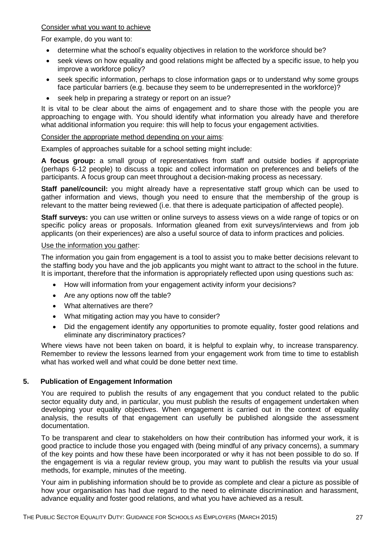#### Consider what you want to achieve

For example, do you want to:

- determine what the school's equality objectives in relation to the workforce should be?
- seek views on how equality and good relations might be affected by a specific issue, to help you improve a workforce policy?
- seek specific information, perhaps to close information gaps or to understand why some groups face particular barriers (e.g. because they seem to be underrepresented in the workforce)?
- seek help in preparing a strategy or report on an issue?

It is vital to be clear about the aims of engagement and to share those with the people you are approaching to engage with. You should identify what information you already have and therefore what additional information you require: this will help to focus your engagement activities.

# Consider the appropriate method depending on your aims:

Examples of approaches suitable for a school setting might include:

**A focus group:** a small group of representatives from staff and outside bodies if appropriate (perhaps 6-12 people) to discuss a topic and collect information on preferences and beliefs of the participants. A focus group can meet throughout a decision-making process as necessary.

**Staff panel/council:** you might already have a representative staff group which can be used to gather information and views, though you need to ensure that the membership of the group is relevant to the matter being reviewed (i.e. that there is adequate participation of affected people).

**Staff surveys:** you can use written or online surveys to assess views on a wide range of topics or on specific policy areas or proposals. Information gleaned from exit surveys/interviews and from job applicants (on their experiences) are also a useful source of data to inform practices and policies.

#### Use the information you gather:

The information you gain from engagement is a tool to assist you to make better decisions relevant to the staffing body you have and the job applicants you might want to attract to the school in the future. It is important, therefore that the information is appropriately reflected upon using questions such as:

- How will information from your engagement activity inform your decisions?
- Are any options now off the table?
- What alternatives are there?
- What mitigating action may you have to consider?
- Did the engagement identify any opportunities to promote equality, foster good relations and eliminate any discriminatory practices?

Where views have not been taken on board, it is helpful to explain why, to increase transparency. Remember to review the lessons learned from your engagement work from time to time to establish what has worked well and what could be done better next time.

# <span id="page-27-0"></span>**5. Publication of Engagement Information**

You are required to publish the results of any engagement that you conduct related to the public sector equality duty and, in particular, you must publish the results of engagement undertaken when developing your equality objectives. When engagement is carried out in the context of equality analysis, the results of that engagement can usefully be published alongside the assessment documentation.

To be transparent and clear to stakeholders on how their contribution has informed your work, it is good practice to include those you engaged with (being mindful of any privacy concerns), a summary of the key points and how these have been incorporated or why it has not been possible to do so. If the engagement is via a regular review group, you may want to publish the results via your usual methods, for example, minutes of the meeting.

Your aim in publishing information should be to provide as complete and clear a picture as possible of how your organisation has had due regard to the need to eliminate discrimination and harassment, advance equality and foster good relations, and what you have achieved as a result.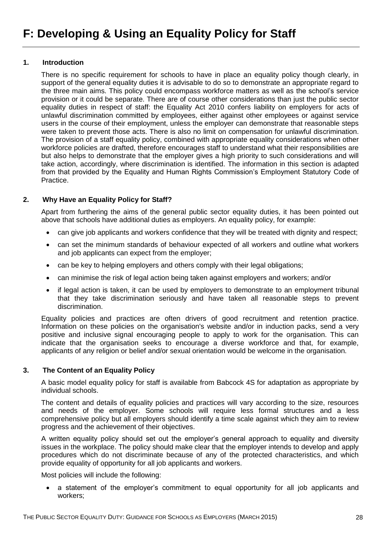#### <span id="page-28-1"></span><span id="page-28-0"></span>**1. Introduction**

There is no specific requirement for schools to have in place an equality policy though clearly, in support of the general equality duties it is advisable to do so to demonstrate an appropriate regard to the three main aims. This policy could encompass workforce matters as well as the school's service provision or it could be separate. There are of course other considerations than just the public sector equality duties in respect of staff: the Equality Act 2010 confers liability on employers for acts of unlawful discrimination committed by employees, either against other employees or against service users in the course of their employment, unless the employer can demonstrate that reasonable steps were taken to prevent those acts. There is also no limit on compensation for unlawful discrimination. The provision of a staff equality policy, combined with appropriate equality considerations when other workforce policies are drafted, therefore encourages staff to understand what their responsibilities are but also helps to demonstrate that the employer gives a high priority to such considerations and will take action, accordingly, where discrimination is identified. The information in this section is adapted from that provided by the Equality and Human Rights Commission's Employment Statutory Code of Practice.

# <span id="page-28-2"></span>**2. Why Have an Equality Policy for Staff?**

Apart from furthering the aims of the general public sector equality duties, it has been pointed out above that schools have additional duties as employers. An equality policy, for example:

- can give job applicants and workers confidence that they will be treated with dignity and respect:
- can set the minimum standards of behaviour expected of all workers and outline what workers and job applicants can expect from the employer;
- can be key to helping employers and others comply with their legal obligations;
- can minimise the risk of legal action being taken against employers and workers; and/or
- if legal action is taken, it can be used by employers to demonstrate to an employment tribunal that they take discrimination seriously and have taken all reasonable steps to prevent discrimination.

Equality policies and practices are often drivers of good recruitment and retention practice. Information on these policies on the organisation's website and/or in induction packs, send a very positive and inclusive signal encouraging people to apply to work for the organisation. This can indicate that the organisation seeks to encourage a diverse workforce and that, for example, applicants of any religion or belief and/or sexual orientation would be welcome in the organisation.

# <span id="page-28-3"></span>**3. The Content of an Equality Policy**

A basic model equality policy for staff is available from Babcock 4S for adaptation as appropriate by individual schools.

The content and details of equality policies and practices will vary according to the size, resources and needs of the employer. Some schools will require less formal structures and a less comprehensive policy but all employers should identify a time scale against which they aim to review progress and the achievement of their objectives.

A written equality policy should set out the employer's general approach to equality and diversity issues in the workplace. The policy should make clear that the employer intends to develop and apply procedures which do not discriminate because of any of the protected characteristics, and which provide equality of opportunity for all job applicants and workers.

Most policies will include the following:

 a statement of the employer's commitment to equal opportunity for all job applicants and workers;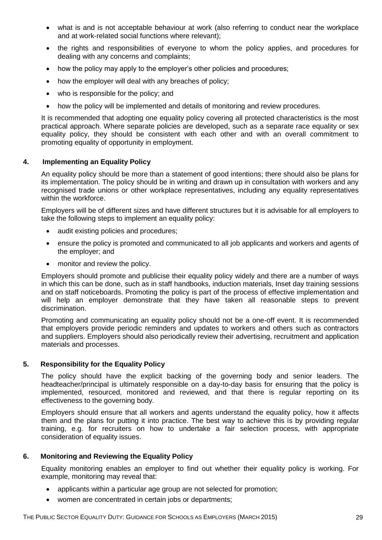- what is and is not acceptable behaviour at work (also referring to conduct near the workplace and at work-related social functions where relevant);
- the rights and responsibilities of everyone to whom the policy applies, and procedures for dealing with any concerns and complaints;
- how the policy may apply to the employer's other policies and procedures;
- how the employer will deal with any breaches of policy;
- who is responsible for the policy; and
- how the policy will be implemented and details of monitoring and review procedures.

It is recommended that adopting one equality policy covering all protected characteristics is the most practical approach. Where separate policies are developed, such as a separate race equality or sex equality policy, they should be consistent with each other and with an overall commitment to promoting equality of opportunity in employment.

# <span id="page-29-0"></span>**4. Implementing an Equality Policy**

An equality policy should be more than a statement of good intentions; there should also be plans for its implementation. The policy should be in writing and drawn up in consultation with workers and any recognised trade unions or other workplace representatives, including any equality representatives within the workforce.

Employers will be of different sizes and have different structures but it is advisable for all employers to take the following steps to implement an equality policy:

- audit existing policies and procedures;
- ensure the policy is promoted and communicated to all job applicants and workers and agents of the employer; and
- monitor and review the policy.

Employers should promote and publicise their equality policy widely and there are a number of ways in which this can be done, such as in staff handbooks, induction materials, Inset day training sessions and on staff noticeboards. Promoting the policy is part of the process of effective implementation and will help an employer demonstrate that they have taken all reasonable steps to prevent discrimination.

Promoting and communicating an equality policy should not be a one-off event. It is recommended that employers provide periodic reminders and updates to workers and others such as contractors and suppliers. Employers should also periodically review their advertising, recruitment and application materials and processes.

# <span id="page-29-1"></span>**5. Responsibility for the Equality Policy**

The policy should have the explicit backing of the governing body and senior leaders. The headteacher/principal is ultimately responsible on a day-to-day basis for ensuring that the policy is implemented, resourced, monitored and reviewed, and that there is regular reporting on its effectiveness to the governing body.

Employers should ensure that all workers and agents understand the equality policy, how it affects them and the plans for putting it into practice. The best way to achieve this is by providing regular training, e.g. for recruiters on how to undertake a fair selection process, with appropriate consideration of equality issues.

# <span id="page-29-2"></span>**6. Monitoring and Reviewing the Equality Policy**

Equality monitoring enables an employer to find out whether their equality policy is working. For example, monitoring may reveal that:

- applicants within a particular age group are not selected for promotion;
- women are concentrated in certain jobs or departments;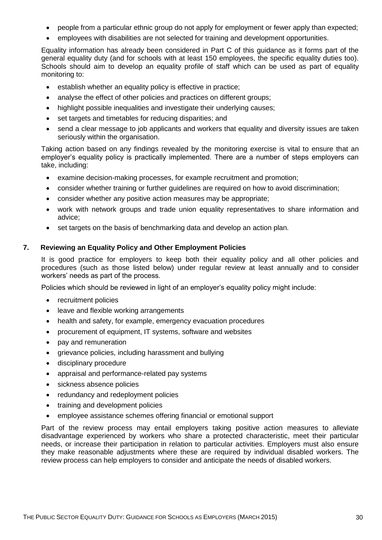- people from a particular ethnic group do not apply for employment or fewer apply than expected;
- employees with disabilities are not selected for training and development opportunities.

Equality information has already been considered in Part C of this guidance as it forms part of the general equality duty (and for schools with at least 150 employees, the specific equality duties too). Schools should aim to develop an equality profile of staff which can be used as part of equality monitoring to:

- **e** establish whether an equality policy is effective in practice;
- analyse the effect of other policies and practices on different groups;
- highlight possible inequalities and investigate their underlying causes;
- set targets and timetables for reducing disparities; and
- send a clear message to job applicants and workers that equality and diversity issues are taken seriously within the organisation.

Taking action based on any findings revealed by the monitoring exercise is vital to ensure that an employer's equality policy is practically implemented. There are a number of steps employers can take, including:

- examine decision-making processes, for example recruitment and promotion;
- consider whether training or further guidelines are required on how to avoid discrimination;
- consider whether any positive action measures may be appropriate;
- work with network groups and trade union equality representatives to share information and advice;
- <span id="page-30-0"></span>set targets on the basis of benchmarking data and develop an action plan.

# **7. Reviewing an Equality Policy and Other Employment Policies**

It is good practice for employers to keep both their equality policy and all other policies and procedures (such as those listed below) under regular review at least annually and to consider workers' needs as part of the process.

Policies which should be reviewed in light of an employer's equality policy might include:

- recruitment policies
- leave and flexible working arrangements
- health and safety, for example, emergency evacuation procedures
- procurement of equipment, IT systems, software and websites
- pay and remuneration
- grievance policies, including harassment and bullying
- disciplinary procedure
- appraisal and performance-related pay systems
- sickness absence policies
- redundancy and redeployment policies
- training and development policies
- employee assistance schemes offering financial or emotional support

Part of the review process may entail employers taking positive action measures to alleviate disadvantage experienced by workers who share a protected characteristic, meet their particular needs, or increase their participation in relation to particular activities. Employers must also ensure they make reasonable adjustments where these are required by individual disabled workers. The review process can help employers to consider and anticipate the needs of disabled workers.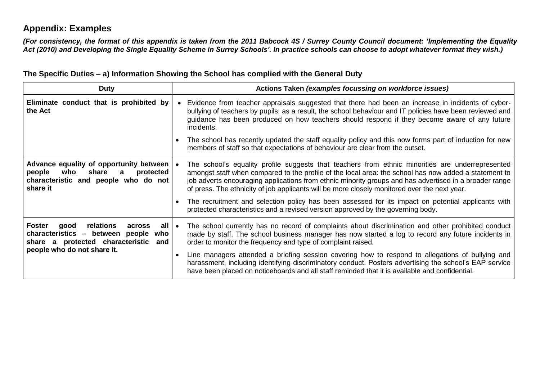# **Appendix: Examples**

*(For consistency, the format of this appendix is taken from the 2011 Babcock 4S / Surrey County Council document: 'Implementing the Equality Act (2010) and Developing the Single Equality Scheme in Surrey Schools'. In practice schools can choose to adopt whatever format they wish.)*

| <b>Duty</b>                                                                                                                             |  | Actions Taken (examples focussing on workforce issues)                                                                                                                                                                                                                                                                                                                                                              |
|-----------------------------------------------------------------------------------------------------------------------------------------|--|---------------------------------------------------------------------------------------------------------------------------------------------------------------------------------------------------------------------------------------------------------------------------------------------------------------------------------------------------------------------------------------------------------------------|
| Eliminate conduct that is prohibited by<br>the Act                                                                                      |  | Evidence from teacher appraisals suggested that there had been an increase in incidents of cyber-<br>bullying of teachers by pupils: as a result, the school behaviour and IT policies have been reviewed and<br>guidance has been produced on how teachers should respond if they become aware of any future<br>incidents.                                                                                         |
|                                                                                                                                         |  | The school has recently updated the staff equality policy and this now forms part of induction for new<br>members of staff so that expectations of behaviour are clear from the outset.                                                                                                                                                                                                                             |
| Advance equality of opportunity between<br>who<br>share<br>people<br>protected<br>a<br>characteristic and people who do not<br>share it |  | The school's equality profile suggests that teachers from ethnic minorities are underrepresented<br>amongst staff when compared to the profile of the local area: the school has now added a statement to<br>job adverts encouraging applications from ethnic minority groups and has advertised in a broader range<br>of press. The ethnicity of job applicants will be more closely monitored over the next year. |
|                                                                                                                                         |  | The recruitment and selection policy has been assessed for its impact on potential applicants with<br>protected characteristics and a revised version approved by the governing body.                                                                                                                                                                                                                               |
| Foster<br>relations<br>all ∣ •<br>good<br>across<br>characteristics – between people<br>who<br>share a protected characteristic<br>and  |  | The school currently has no record of complaints about discrimination and other prohibited conduct<br>made by staff. The school business manager has now started a log to record any future incidents in<br>order to monitor the frequency and type of complaint raised.                                                                                                                                            |
| people who do not share it.                                                                                                             |  | Line managers attended a briefing session covering how to respond to allegations of bullying and<br>harassment, including identifying discriminatory conduct. Posters advertising the school's EAP service<br>have been placed on noticeboards and all staff reminded that it is available and confidential.                                                                                                        |

**The Specific Duties – a) Information Showing the School has complied with the General Duty**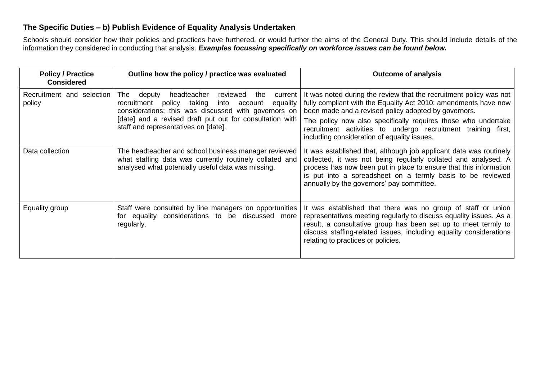# **The Specific Duties – b) Publish Evidence of Equality Analysis Undertaken**

Schools should consider how their policies and practices have furthered, or would further the aims of the General Duty. This should include details of the information they considered in conducting that analysis. *Examples focussing specifically on workforce issues can be found below.*

| <b>Policy / Practice</b><br><b>Considered</b> | Outline how the policy / practice was evaluated                                                                                                                                                                                                  | <b>Outcome of analysis</b>                                                                                                                                                                                                                                                                                           |  |  |
|-----------------------------------------------|--------------------------------------------------------------------------------------------------------------------------------------------------------------------------------------------------------------------------------------------------|----------------------------------------------------------------------------------------------------------------------------------------------------------------------------------------------------------------------------------------------------------------------------------------------------------------------|--|--|
| Recruitment and selection<br>policy           | headteacher<br>reviewed<br>The<br>deputy<br>the<br>current<br>taking<br>recruitment<br>policy<br>into<br>equality<br>account<br>considerations; this was discussed with governors on<br>[date] and a revised draft put out for consultation with | It was noted during the review that the recruitment policy was not<br>fully compliant with the Equality Act 2010; amendments have now<br>been made and a revised policy adopted by governors.                                                                                                                        |  |  |
|                                               | staff and representatives on [date].                                                                                                                                                                                                             | The policy now also specifically requires those who undertake<br>recruitment activities to undergo recruitment training first,<br>including consideration of equality issues.                                                                                                                                        |  |  |
| Data collection                               | The headteacher and school business manager reviewed<br>what staffing data was currently routinely collated and<br>analysed what potentially useful data was missing.                                                                            | It was established that, although job applicant data was routinely<br>collected, it was not being regularly collated and analysed. A<br>process has now been put in place to ensure that this information<br>is put into a spreadsheet on a termly basis to be reviewed<br>annually by the governors' pay committee. |  |  |
| Equality group                                | Staff were consulted by line managers on opportunities<br>for equality considerations to be discussed more<br>regularly.                                                                                                                         | It was established that there was no group of staff or union<br>representatives meeting regularly to discuss equality issues. As a<br>result, a consultative group has been set up to meet termly to<br>discuss staffing-related issues, including equality considerations<br>relating to practices or policies.     |  |  |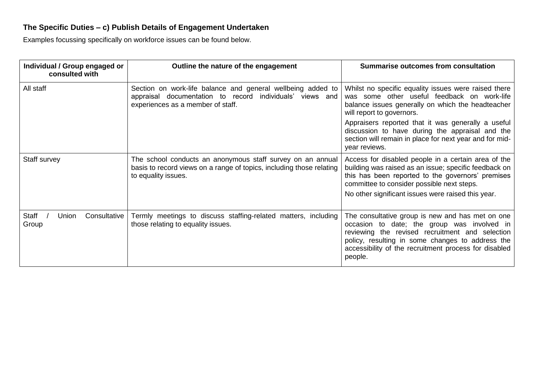# **The Specific Duties – c) Publish Details of Engagement Undertaken**

Examples focussing specifically on workforce issues can be found below.

| Individual / Group engaged or<br>consulted with | Outline the nature of the engagement                                                                                                                         | Summarise outcomes from consultation                                                                                                                                                                                                                                       |
|-------------------------------------------------|--------------------------------------------------------------------------------------------------------------------------------------------------------------|----------------------------------------------------------------------------------------------------------------------------------------------------------------------------------------------------------------------------------------------------------------------------|
| All staff                                       | Section on work-life balance and general wellbeing added to<br>appraisal documentation to record individuals' views and<br>experiences as a member of staff. | Whilst no specific equality issues were raised there<br>was some other useful feedback on work-life<br>balance issues generally on which the headteacher<br>will report to governors.                                                                                      |
|                                                 |                                                                                                                                                              | Appraisers reported that it was generally a useful<br>discussion to have during the appraisal and the<br>section will remain in place for next year and for mid-<br>year reviews.                                                                                          |
| Staff survey                                    | The school conducts an anonymous staff survey on an annual<br>basis to record views on a range of topics, including those relating<br>to equality issues.    | Access for disabled people in a certain area of the<br>building was raised as an issue; specific feedback on<br>this has been reported to the governors' premises<br>committee to consider possible next steps.<br>No other significant issues were raised this year.      |
| Staff<br>Union<br>Consultative<br>Group         | Termly meetings to discuss staffing-related matters, including<br>those relating to equality issues.                                                         | The consultative group is new and has met on one<br>occasion to date; the group was involved in<br>reviewing the revised recruitment and selection<br>policy, resulting in some changes to address the<br>accessibility of the recruitment process for disabled<br>people. |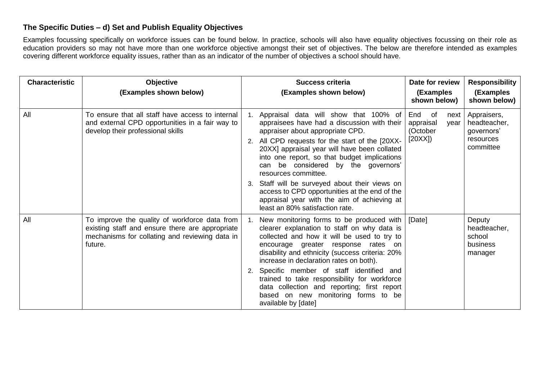# **The Specific Duties – d) Set and Publish Equality Objectives**

Examples focussing specifically on workforce issues can be found below. In practice, schools will also have equality objectives focussing on their role as education providers so may not have more than one workforce objective amongst their set of objectives. The below are therefore intended as examples covering different workforce equality issues, rather than as an indicator of the number of objectives a school should have.

| <b>Characteristic</b> | Objective<br>(Examples shown below)                                                                                                                           | Date for review<br><b>Success criteria</b><br>(Examples shown below)<br>(Examples<br>shown below) |                                                                                                                                                                                                                                                                                                                                                                                                                                                                                                                              |                                           |              | <b>Responsibility</b><br>(Examples<br>shown below)                  |
|-----------------------|---------------------------------------------------------------------------------------------------------------------------------------------------------------|---------------------------------------------------------------------------------------------------|------------------------------------------------------------------------------------------------------------------------------------------------------------------------------------------------------------------------------------------------------------------------------------------------------------------------------------------------------------------------------------------------------------------------------------------------------------------------------------------------------------------------------|-------------------------------------------|--------------|---------------------------------------------------------------------|
| All                   | To ensure that all staff have access to internal<br>and external CPD opportunities in a fair way to<br>develop their professional skills                      | 1.                                                                                                | Appraisal data will show that 100% of<br>appraisees have had a discussion with their<br>appraiser about appropriate CPD.<br>All CPD requests for the start of the [20XX-<br>20XX] appraisal year will have been collated<br>into one report, so that budget implications<br>can be considered by the governors'<br>resources committee.<br>3. Staff will be surveyed about their views on<br>access to CPD opportunities at the end of the<br>appraisal year with the aim of achieving at<br>least an 80% satisfaction rate. | End of<br>appraisal<br>(October<br>[20XX] | next<br>year | Appraisers,<br>headteacher,<br>governors'<br>resources<br>committee |
| All                   | To improve the quality of workforce data from<br>existing staff and ensure there are appropriate<br>mechanisms for collating and reviewing data in<br>future. | $1_{-}$                                                                                           | New monitoring forms to be produced with<br>clearer explanation to staff on why data is<br>collected and how it will be used to try to<br>encourage greater response rates on<br>disability and ethnicity (success criteria: 20%<br>increase in declaration rates on both).<br>2. Specific member of staff identified and<br>trained to take responsibility for workforce<br>data collection and reporting; first report<br>based on new monitoring forms to be<br>available by [date]                                       | [Date]                                    |              | Deputy<br>headteacher,<br>school<br>business<br>manager             |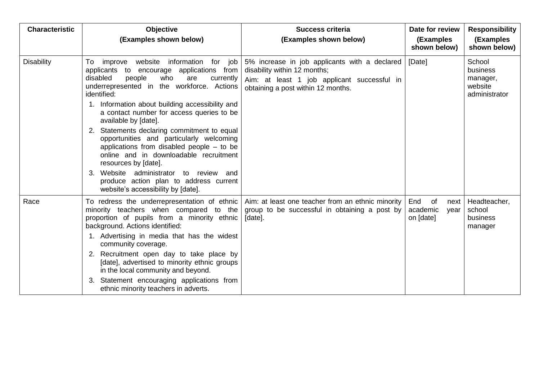| <b>Characteristic</b> | Objective<br><b>Success criteria</b><br>(Examples shown below)<br>(Examples shown below)                                                                                                                                                                                                                                                                                                                                                                                                                                                                                                                                                                              |                                                                                                                                                                    |                                                    | <b>Responsibility</b><br>(Examples<br>shown below)                |
|-----------------------|-----------------------------------------------------------------------------------------------------------------------------------------------------------------------------------------------------------------------------------------------------------------------------------------------------------------------------------------------------------------------------------------------------------------------------------------------------------------------------------------------------------------------------------------------------------------------------------------------------------------------------------------------------------------------|--------------------------------------------------------------------------------------------------------------------------------------------------------------------|----------------------------------------------------|-------------------------------------------------------------------|
| <b>Disability</b>     | improve website information for job<br>To<br>applications from<br>applicants to encourage<br>disabled<br>people<br>who<br>are<br>currently<br>underrepresented in the workforce. Actions<br>identified:<br>1. Information about building accessibility and<br>a contact number for access queries to be<br>available by [date].<br>2. Statements declaring commitment to equal<br>opportunities and particularly welcoming<br>applications from disabled people $-$ to be<br>online and in downloadable recruitment<br>resources by [date].<br>3. Website administrator to review and<br>produce action plan to address current<br>website's accessibility by [date]. | 5% increase in job applicants with a declared<br>disability within 12 months;<br>Aim: at least 1 job applicant successful in<br>obtaining a post within 12 months. | [Date]                                             | School<br><b>business</b><br>manager,<br>website<br>administrator |
| Race                  | To redress the underrepresentation of ethnic<br>minority teachers when compared to the<br>proportion of pupils from a minority ethnic<br>background. Actions identified:<br>1. Advertising in media that has the widest<br>community coverage.<br>2. Recruitment open day to take place by<br>[date], advertised to minority ethnic groups<br>in the local community and beyond.<br>Statement encouraging applications from<br>ethnic minority teachers in adverts.                                                                                                                                                                                                   | Aim: at least one teacher from an ethnic minority<br>group to be successful in obtaining a post by<br>[date].                                                      | End<br>of<br>next<br>academic<br>year<br>on [date] | Headteacher,<br>school<br><b>business</b><br>manager              |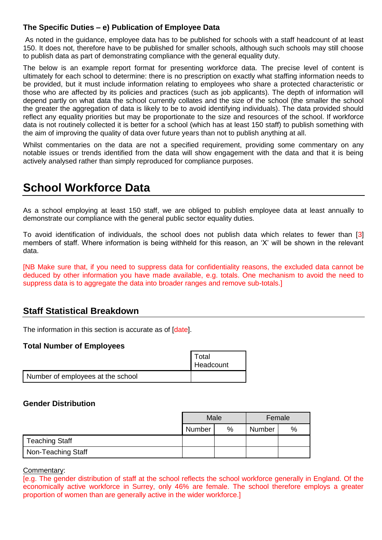# **The Specific Duties – e) Publication of Employee Data**

As noted in the guidance, employee data has to be published for schools with a staff headcount of at least 150. It does not, therefore have to be published for smaller schools, although such schools may still choose to publish data as part of demonstrating compliance with the general equality duty.

The below is an example report format for presenting workforce data. The precise level of content is ultimately for each school to determine: there is no prescription on exactly what staffing information needs to be provided, but it must include information relating to employees who share a protected characteristic or those who are affected by its policies and practices (such as job applicants). The depth of information will depend partly on what data the school currently collates and the size of the school (the smaller the school the greater the aggregation of data is likely to be to avoid identifying individuals). The data provided should reflect any equality priorities but may be proportionate to the size and resources of the school. If workforce data is not routinely collected it is better for a school (which has at least 150 staff) to publish something with the aim of improving the quality of data over future years than not to publish anything at all.

Whilst commentaries on the data are not a specified requirement, providing some commentary on any notable issues or trends identified from the data will show engagement with the data and that it is being actively analysed rather than simply reproduced for compliance purposes.

# **School Workforce Data**

As a school employing at least 150 staff, we are obliged to publish employee data at least annually to demonstrate our compliance with the general public sector equality duties.

To avoid identification of individuals, the school does not publish data which relates to fewer than [3] members of staff. Where information is being withheld for this reason, an 'X' will be shown in the relevant data.

[NB Make sure that, if you need to suppress data for confidentiality reasons, the excluded data cannot be deduced by other information you have made available, e.g. totals. One mechanism to avoid the need to suppress data is to aggregate the data into broader ranges and remove sub-totals.]

# **Staff Statistical Breakdown**

The information in this section is accurate as of *datel*.

# **Total Number of Employees**

|                                   | Total            |
|-----------------------------------|------------------|
|                                   | <b>Headcount</b> |
| Number of employees at the school |                  |

# **Gender Distribution**

|                    | Male   |   | Female        |               |
|--------------------|--------|---|---------------|---------------|
|                    | Number | % | <b>Number</b> | $\frac{0}{0}$ |
| Teaching Staff     |        |   |               |               |
| Non-Teaching Staff |        |   |               |               |

Commentary:

[e.g. The gender distribution of staff at the school reflects the school workforce generally in England. Of the economically active workforce in Surrey, only 46% are female. The school therefore employs a greater proportion of women than are generally active in the wider workforce.]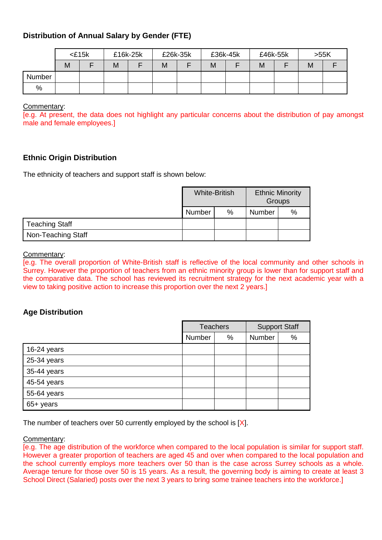# **Distribution of Annual Salary by Gender (FTE)**

|        |   | $<$ £15 $k$ | £16k-25k |  |   |  | £26k-35k<br>£36k-45k |  | £46k-55k |  | >55K |  |
|--------|---|-------------|----------|--|---|--|----------------------|--|----------|--|------|--|
|        | M |             | M        |  | M |  | M                    |  | M        |  | M    |  |
| Number |   |             |          |  |   |  |                      |  |          |  |      |  |
| %      |   |             |          |  |   |  |                      |  |          |  |      |  |

#### Commentary:

[e.g. At present, the data does not highlight any particular concerns about the distribution of pay amongst male and female employees.]

# **Ethnic Origin Distribution**

The ethnicity of teachers and support staff is shown below:

|                       |               | <b>White-British</b> | <b>Ethnic Minority</b><br>Groups |      |
|-----------------------|---------------|----------------------|----------------------------------|------|
|                       | <b>Number</b> | $\%$                 | Number                           | $\%$ |
| <b>Teaching Staff</b> |               |                      |                                  |      |
| Non-Teaching Staff    |               |                      |                                  |      |

#### Commentary:

[e.g. The overall proportion of White-British staff is reflective of the local community and other schools in Surrey. However the proportion of teachers from an ethnic minority group is lower than for support staff and the comparative data. The school has reviewed its recruitment strategy for the next academic year with a view to taking positive action to increase this proportion over the next 2 years.]

# **Age Distribution**

|             | <b>Teachers</b> |   | <b>Support Staff</b> |   |  |
|-------------|-----------------|---|----------------------|---|--|
|             | Number          | % | Number               | % |  |
| 16-24 years |                 |   |                      |   |  |
| 25-34 years |                 |   |                      |   |  |
| 35-44 years |                 |   |                      |   |  |
| 45-54 years |                 |   |                      |   |  |
| 55-64 years |                 |   |                      |   |  |
| 65+ years   |                 |   |                      |   |  |

The number of teachers over 50 currently employed by the school is  $[X]$ .

#### Commentary:

[e.g. The age distribution of the workforce when compared to the local population is similar for support staff. However a greater proportion of teachers are aged 45 and over when compared to the local population and the school currently employs more teachers over 50 than is the case across Surrey schools as a whole. Average tenure for those over 50 is 15 years. As a result, the governing body is aiming to create at least 3 School Direct (Salaried) posts over the next 3 years to bring some trainee teachers into the workforce.]